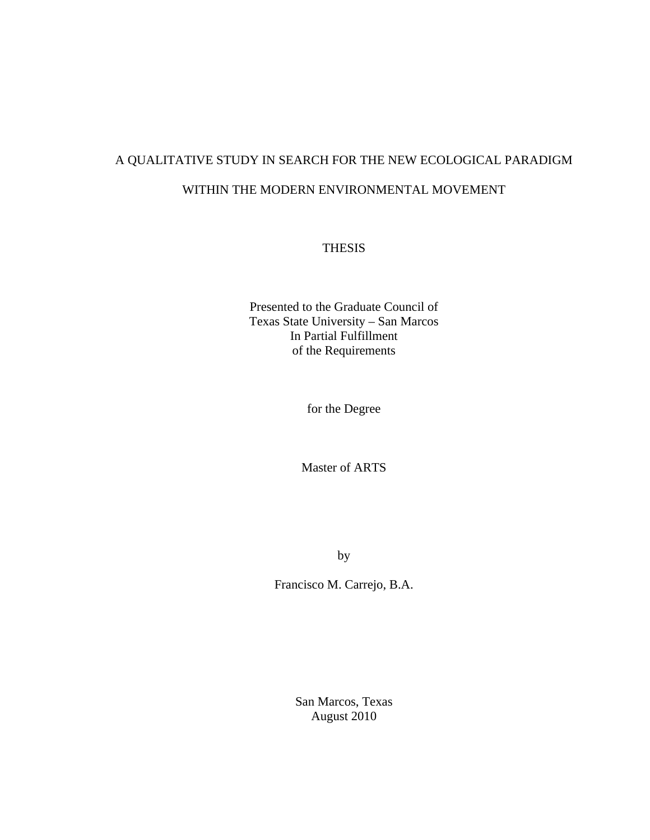# A QUALITATIVE STUDY IN SEARCH FOR THE NEW ECOLOGICAL PARADIGM WITHIN THE MODERN ENVIRONMENTAL MOVEMENT

# THESIS

Presented to the Graduate Council of Texas State University – San Marcos In Partial Fulfillment of the Requirements

for the Degree

Master of ARTS

by

Francisco M. Carrejo, B.A.

San Marcos, Texas August 2010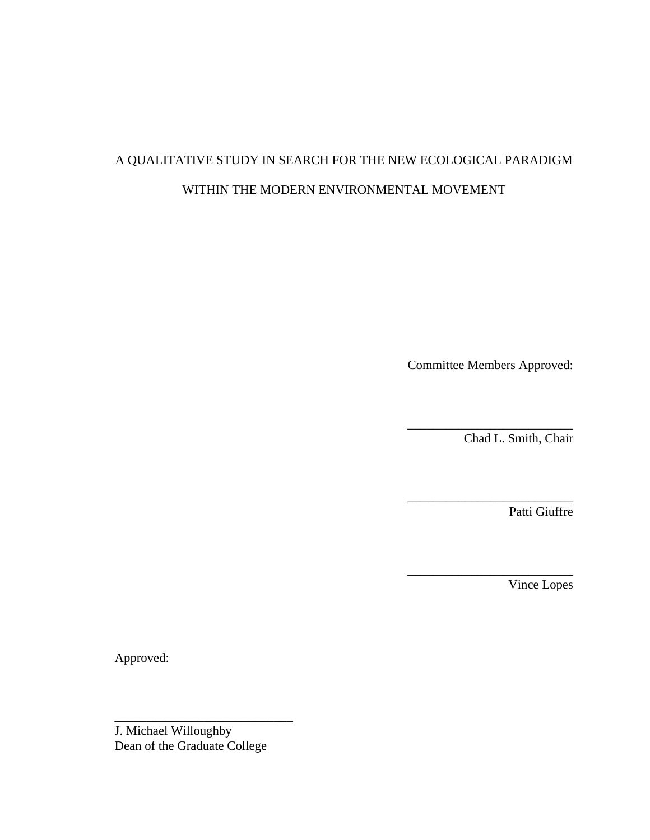# A QUALITATIVE STUDY IN SEARCH FOR THE NEW ECOLOGICAL PARADIGM WITHIN THE MODERN ENVIRONMENTAL MOVEMENT

Committee Members Approved:

\_\_\_\_\_\_\_\_\_\_\_\_\_\_\_\_\_\_\_\_\_\_\_\_\_\_

\_\_\_\_\_\_\_\_\_\_\_\_\_\_\_\_\_\_\_\_\_\_\_\_\_\_

\_\_\_\_\_\_\_\_\_\_\_\_\_\_\_\_\_\_\_\_\_\_\_\_\_\_

Chad L. Smith, Chair

Patti Giuffre

Vince Lopes

Approved:

J. Michael Willoughby Dean of the Graduate College

\_\_\_\_\_\_\_\_\_\_\_\_\_\_\_\_\_\_\_\_\_\_\_\_\_\_\_\_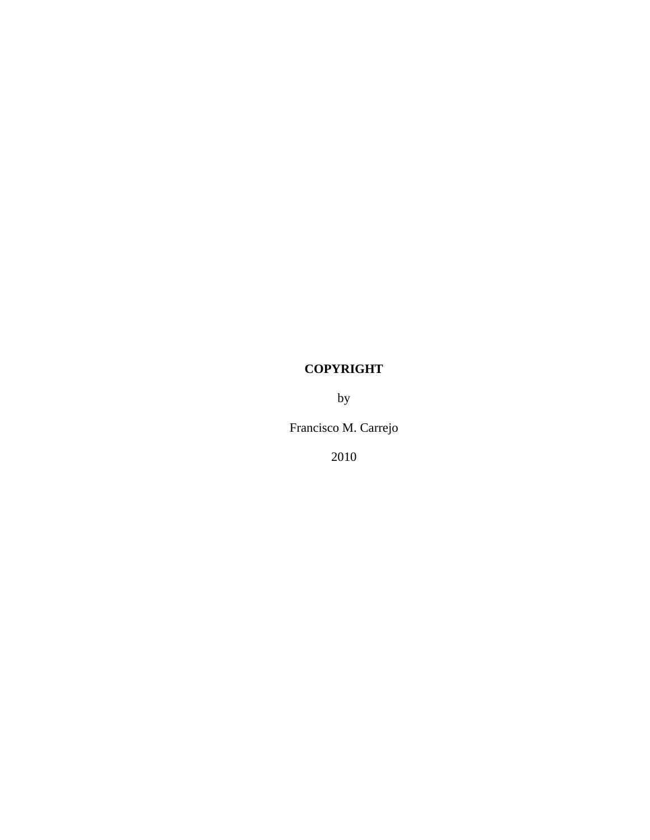# **COPYRIGHT**

by

Francisco M. Carrejo

2010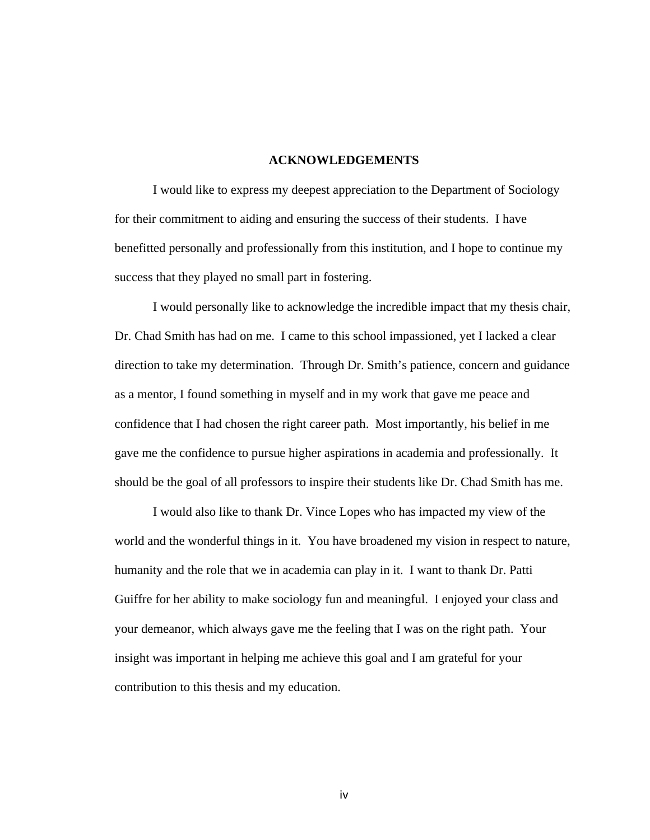#### **ACKNOWLEDGEMENTS**

I would like to express my deepest appreciation to the Department of Sociology for their commitment to aiding and ensuring the success of their students. I have benefitted personally and professionally from this institution, and I hope to continue my success that they played no small part in fostering.

I would personally like to acknowledge the incredible impact that my thesis chair, Dr. Chad Smith has had on me. I came to this school impassioned, yet I lacked a clear direction to take my determination. Through Dr. Smith's patience, concern and guidance as a mentor, I found something in myself and in my work that gave me peace and confidence that I had chosen the right career path. Most importantly, his belief in me gave me the confidence to pursue higher aspirations in academia and professionally. It should be the goal of all professors to inspire their students like Dr. Chad Smith has me.

I would also like to thank Dr. Vince Lopes who has impacted my view of the world and the wonderful things in it. You have broadened my vision in respect to nature, humanity and the role that we in academia can play in it. I want to thank Dr. Patti Guiffre for her ability to make sociology fun and meaningful. I enjoyed your class and your demeanor, which always gave me the feeling that I was on the right path. Your insight was important in helping me achieve this goal and I am grateful for your contribution to this thesis and my education.

iv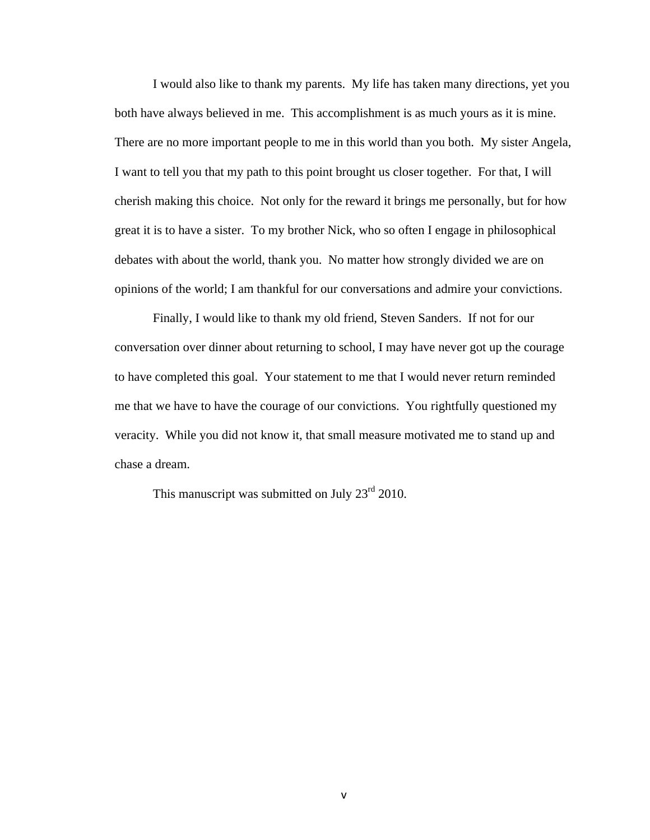I would also like to thank my parents. My life has taken many directions, yet you both have always believed in me. This accomplishment is as much yours as it is mine. There are no more important people to me in this world than you both. My sister Angela, I want to tell you that my path to this point brought us closer together. For that, I will cherish making this choice. Not only for the reward it brings me personally, but for how great it is to have a sister. To my brother Nick, who so often I engage in philosophical debates with about the world, thank you. No matter how strongly divided we are on opinions of the world; I am thankful for our conversations and admire your convictions.

Finally, I would like to thank my old friend, Steven Sanders. If not for our conversation over dinner about returning to school, I may have never got up the courage to have completed this goal. Your statement to me that I would never return reminded me that we have to have the courage of our convictions. You rightfully questioned my veracity. While you did not know it, that small measure motivated me to stand up and chase a dream.

This manuscript was submitted on July  $23<sup>rd</sup> 2010$ .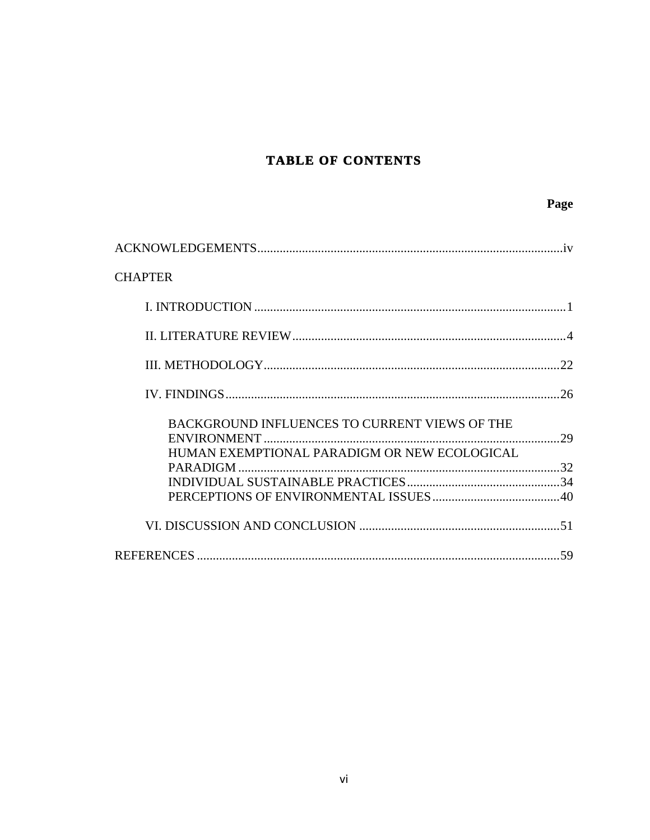# TABLE OF CONTENTS

Page

| <b>CHAPTER</b>                                |  |
|-----------------------------------------------|--|
|                                               |  |
|                                               |  |
|                                               |  |
|                                               |  |
| BACKGROUND INFLUENCES TO CURRENT VIEWS OF THE |  |
| HUMAN EXEMPTIONAL PARADIGM OR NEW ECOLOGICAL  |  |
|                                               |  |
|                                               |  |
|                                               |  |
|                                               |  |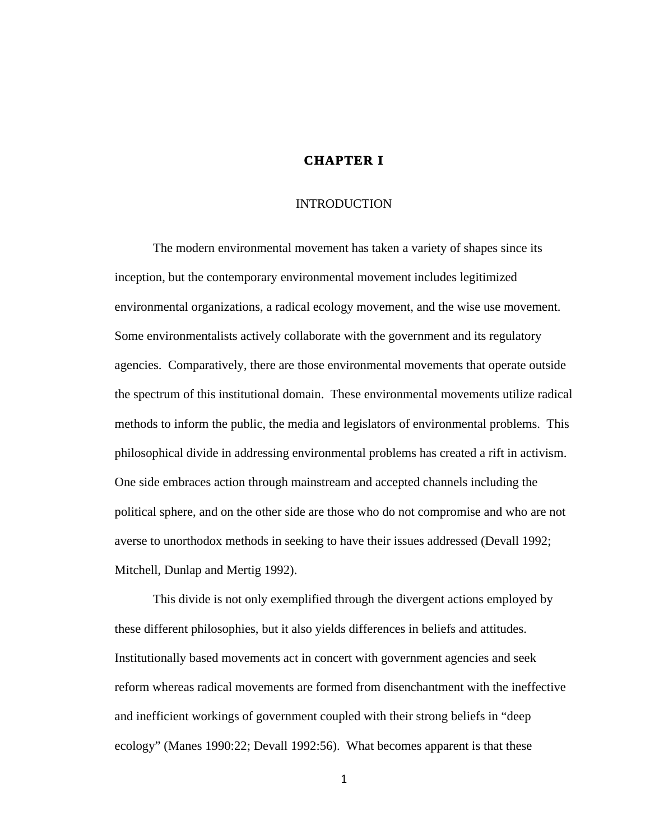# **CHAPTER I**

#### INTRODUCTION

The modern environmental movement has taken a variety of shapes since its inception, but the contemporary environmental movement includes legitimized environmental organizations, a radical ecology movement, and the wise use movement. Some environmentalists actively collaborate with the government and its regulatory agencies. Comparatively, there are those environmental movements that operate outside the spectrum of this institutional domain. These environmental movements utilize radical methods to inform the public, the media and legislators of environmental problems. This philosophical divide in addressing environmental problems has created a rift in activism. One side embraces action through mainstream and accepted channels including the political sphere, and on the other side are those who do not compromise and who are not averse to unorthodox methods in seeking to have their issues addressed (Devall 1992; Mitchell, Dunlap and Mertig 1992).

This divide is not only exemplified through the divergent actions employed by these different philosophies, but it also yields differences in beliefs and attitudes. Institutionally based movements act in concert with government agencies and seek reform whereas radical movements are formed from disenchantment with the ineffective and inefficient workings of government coupled with their strong beliefs in "deep ecology" (Manes 1990:22; Devall 1992:56). What becomes apparent is that these

1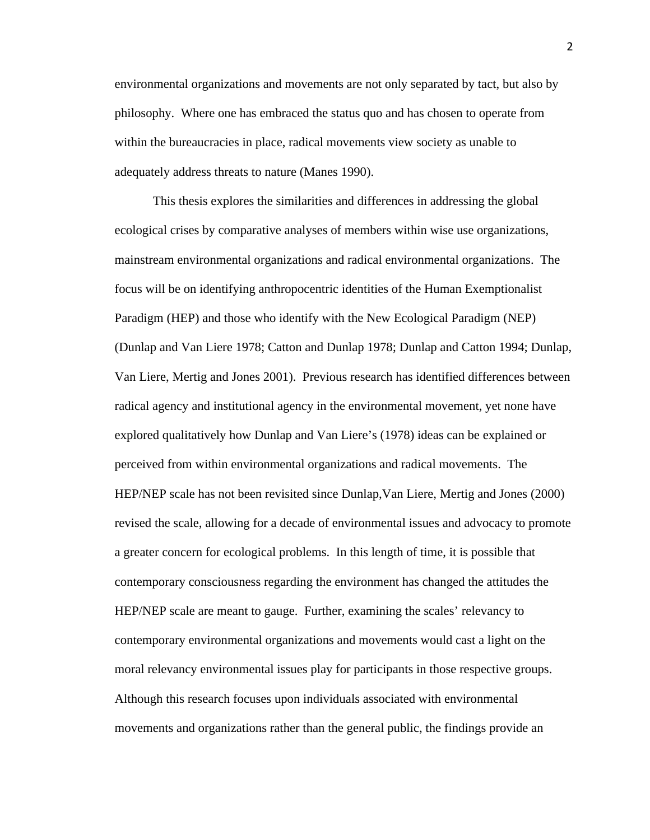environmental organizations and movements are not only separated by tact, but also by philosophy. Where one has embraced the status quo and has chosen to operate from within the bureaucracies in place, radical movements view society as unable to adequately address threats to nature (Manes 1990).

This thesis explores the similarities and differences in addressing the global ecological crises by comparative analyses of members within wise use organizations, mainstream environmental organizations and radical environmental organizations. The focus will be on identifying anthropocentric identities of the Human Exemptionalist Paradigm (HEP) and those who identify with the New Ecological Paradigm (NEP) (Dunlap and Van Liere 1978; Catton and Dunlap 1978; Dunlap and Catton 1994; Dunlap, Van Liere, Mertig and Jones 2001). Previous research has identified differences between radical agency and institutional agency in the environmental movement, yet none have explored qualitatively how Dunlap and Van Liere's (1978) ideas can be explained or perceived from within environmental organizations and radical movements. The HEP/NEP scale has not been revisited since Dunlap,Van Liere, Mertig and Jones (2000) revised the scale, allowing for a decade of environmental issues and advocacy to promote a greater concern for ecological problems. In this length of time, it is possible that contemporary consciousness regarding the environment has changed the attitudes the HEP/NEP scale are meant to gauge. Further, examining the scales' relevancy to contemporary environmental organizations and movements would cast a light on the moral relevancy environmental issues play for participants in those respective groups. Although this research focuses upon individuals associated with environmental movements and organizations rather than the general public, the findings provide an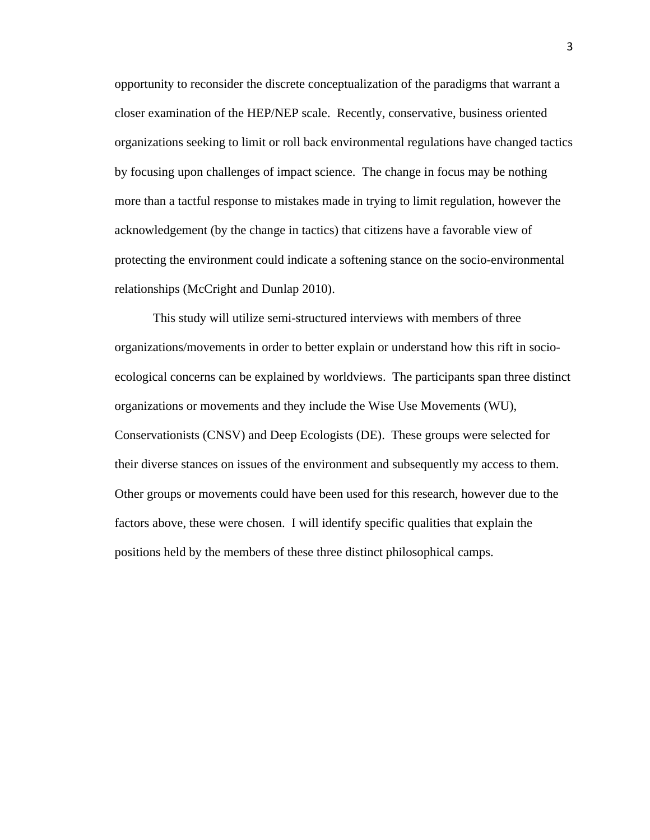opportunity to reconsider the discrete conceptualization of the paradigms that warrant a closer examination of the HEP/NEP scale. Recently, conservative, business oriented organizations seeking to limit or roll back environmental regulations have changed tactics by focusing upon challenges of impact science. The change in focus may be nothing more than a tactful response to mistakes made in trying to limit regulation, however the acknowledgement (by the change in tactics) that citizens have a favorable view of protecting the environment could indicate a softening stance on the socio-environmental relationships (McCright and Dunlap 2010).

This study will utilize semi-structured interviews with members of three organizations/movements in order to better explain or understand how this rift in socioecological concerns can be explained by worldviews. The participants span three distinct organizations or movements and they include the Wise Use Movements (WU), Conservationists (CNSV) and Deep Ecologists (DE). These groups were selected for their diverse stances on issues of the environment and subsequently my access to them. Other groups or movements could have been used for this research, however due to the factors above, these were chosen. I will identify specific qualities that explain the positions held by the members of these three distinct philosophical camps.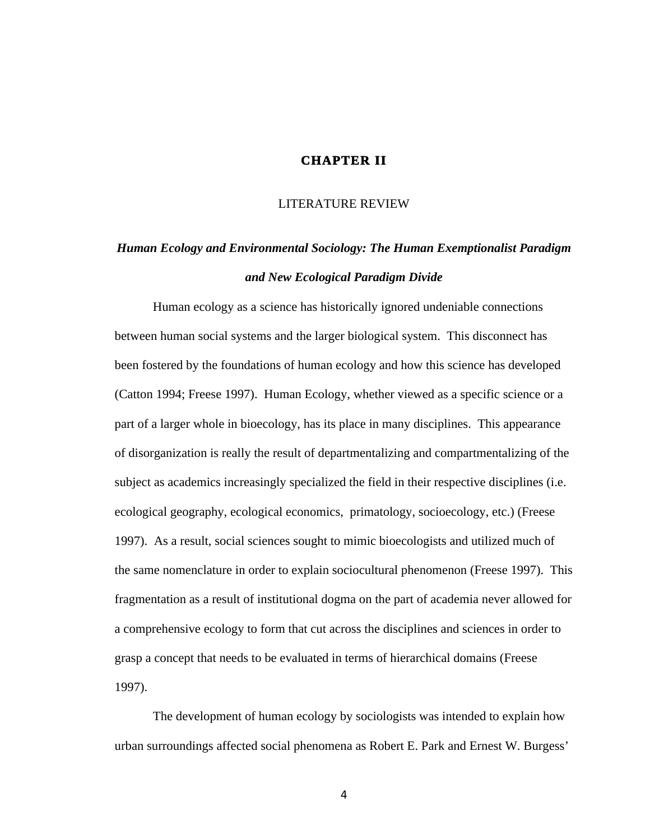# **CHAPTER II**

#### LITERATURE REVIEW

# *Human Ecology and Environmental Sociology: The Human Exemptionalist Paradigm and New Ecological Paradigm Divide*

Human ecology as a science has historically ignored undeniable connections between human social systems and the larger biological system. This disconnect has been fostered by the foundations of human ecology and how this science has developed (Catton 1994; Freese 1997). Human Ecology, whether viewed as a specific science or a part of a larger whole in bioecology, has its place in many disciplines. This appearance of disorganization is really the result of departmentalizing and compartmentalizing of the subject as academics increasingly specialized the field in their respective disciplines (i.e. ecological geography, ecological economics, primatology, socioecology, etc.) (Freese 1997). As a result, social sciences sought to mimic bioecologists and utilized much of the same nomenclature in order to explain sociocultural phenomenon (Freese 1997). This fragmentation as a result of institutional dogma on the part of academia never allowed for a comprehensive ecology to form that cut across the disciplines and sciences in order to grasp a concept that needs to be evaluated in terms of hierarchical domains (Freese 1997).

The development of human ecology by sociologists was intended to explain how urban surroundings affected social phenomena as Robert E. Park and Ernest W. Burgess'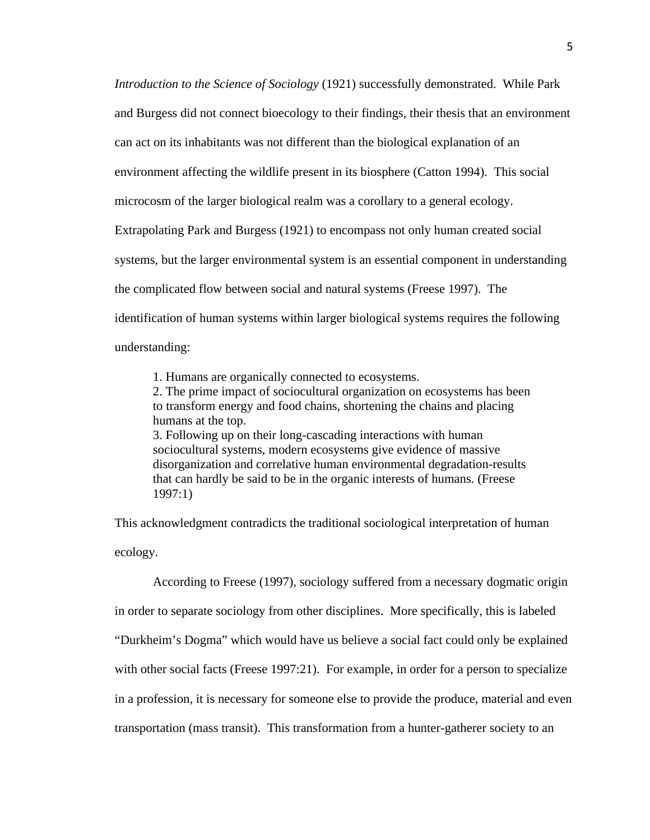*Introduction to the Science of Sociology* (1921) successfully demonstrated. While Park and Burgess did not connect bioecology to their findings, their thesis that an environment can act on its inhabitants was not different than the biological explanation of an environment affecting the wildlife present in its biosphere (Catton 1994). This social microcosm of the larger biological realm was a corollary to a general ecology. Extrapolating Park and Burgess (1921) to encompass not only human created social systems, but the larger environmental system is an essential component in understanding the complicated flow between social and natural systems (Freese 1997). The identification of human systems within larger biological systems requires the following understanding:

1. Humans are organically connected to ecosystems.

2. The prime impact of sociocultural organization on ecosystems has been to transform energy and food chains, shortening the chains and placing humans at the top. 3. Following up on their long-cascading interactions with human sociocultural systems, modern ecosystems give evidence of massive disorganization and correlative human environmental degradation-results that can hardly be said to be in the organic interests of humans. (Freese

1997:1)

This acknowledgment contradicts the traditional sociological interpretation of human ecology.

According to Freese (1997), sociology suffered from a necessary dogmatic origin in order to separate sociology from other disciplines. More specifically, this is labeled "Durkheim's Dogma" which would have us believe a social fact could only be explained with other social facts (Freese 1997:21). For example, in order for a person to specialize in a profession, it is necessary for someone else to provide the produce, material and even transportation (mass transit). This transformation from a hunter-gatherer society to an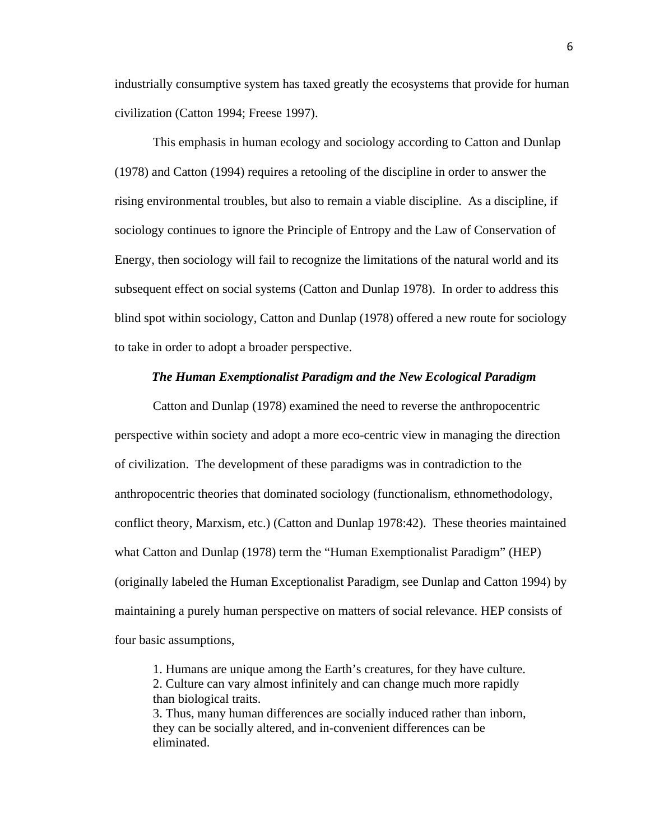industrially consumptive system has taxed greatly the ecosystems that provide for human civilization (Catton 1994; Freese 1997).

This emphasis in human ecology and sociology according to Catton and Dunlap (1978) and Catton (1994) requires a retooling of the discipline in order to answer the rising environmental troubles, but also to remain a viable discipline. As a discipline, if sociology continues to ignore the Principle of Entropy and the Law of Conservation of Energy, then sociology will fail to recognize the limitations of the natural world and its subsequent effect on social systems (Catton and Dunlap 1978). In order to address this blind spot within sociology, Catton and Dunlap (1978) offered a new route for sociology to take in order to adopt a broader perspective.

#### *The Human Exemptionalist Paradigm and the New Ecological Paradigm*

Catton and Dunlap (1978) examined the need to reverse the anthropocentric perspective within society and adopt a more eco-centric view in managing the direction of civilization. The development of these paradigms was in contradiction to the anthropocentric theories that dominated sociology (functionalism, ethnomethodology, conflict theory, Marxism, etc.) (Catton and Dunlap 1978:42). These theories maintained what Catton and Dunlap (1978) term the "Human Exemptionalist Paradigm" (HEP) (originally labeled the Human Exceptionalist Paradigm, see Dunlap and Catton 1994) by maintaining a purely human perspective on matters of social relevance. HEP consists of four basic assumptions,

1. Humans are unique among the Earth's creatures, for they have culture. 2. Culture can vary almost infinitely and can change much more rapidly than biological traits. 3. Thus, many human differences are socially induced rather than inborn, they can be socially altered, and in-convenient differences can be eliminated.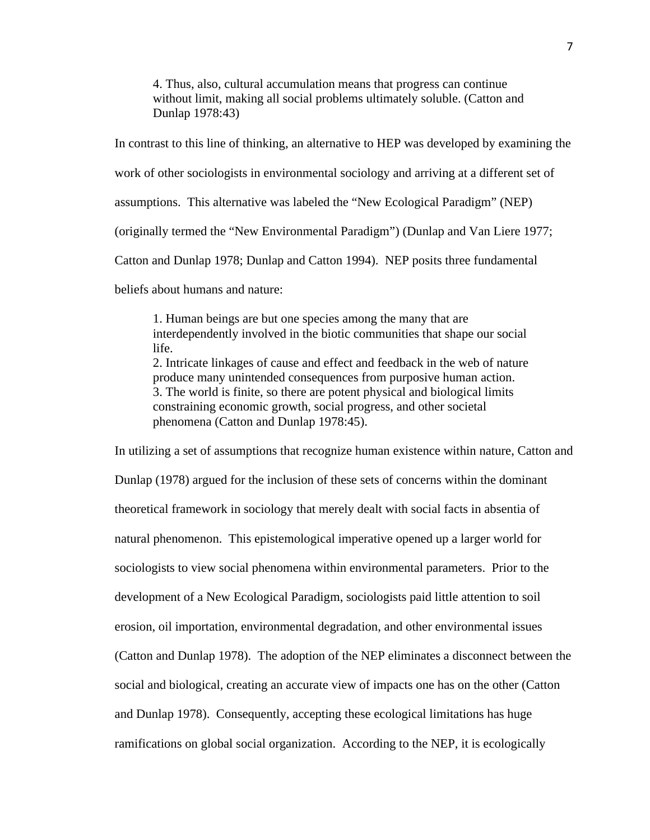4. Thus, also, cultural accumulation means that progress can continue without limit, making all social problems ultimately soluble. (Catton and Dunlap 1978:43)

In contrast to this line of thinking, an alternative to HEP was developed by examining the work of other sociologists in environmental sociology and arriving at a different set of assumptions. This alternative was labeled the "New Ecological Paradigm" (NEP) (originally termed the "New Environmental Paradigm") (Dunlap and Van Liere 1977; Catton and Dunlap 1978; Dunlap and Catton 1994). NEP posits three fundamental beliefs about humans and nature:

1. Human beings are but one species among the many that are interdependently involved in the biotic communities that shape our social life. 2. Intricate linkages of cause and effect and feedback in the web of nature produce many unintended consequences from purposive human action. 3. The world is finite, so there are potent physical and biological limits constraining economic growth, social progress, and other societal phenomena (Catton and Dunlap 1978:45).

In utilizing a set of assumptions that recognize human existence within nature, Catton and Dunlap (1978) argued for the inclusion of these sets of concerns within the dominant theoretical framework in sociology that merely dealt with social facts in absentia of natural phenomenon. This epistemological imperative opened up a larger world for sociologists to view social phenomena within environmental parameters. Prior to the development of a New Ecological Paradigm, sociologists paid little attention to soil erosion, oil importation, environmental degradation, and other environmental issues (Catton and Dunlap 1978). The adoption of the NEP eliminates a disconnect between the social and biological, creating an accurate view of impacts one has on the other (Catton and Dunlap 1978). Consequently, accepting these ecological limitations has huge ramifications on global social organization. According to the NEP, it is ecologically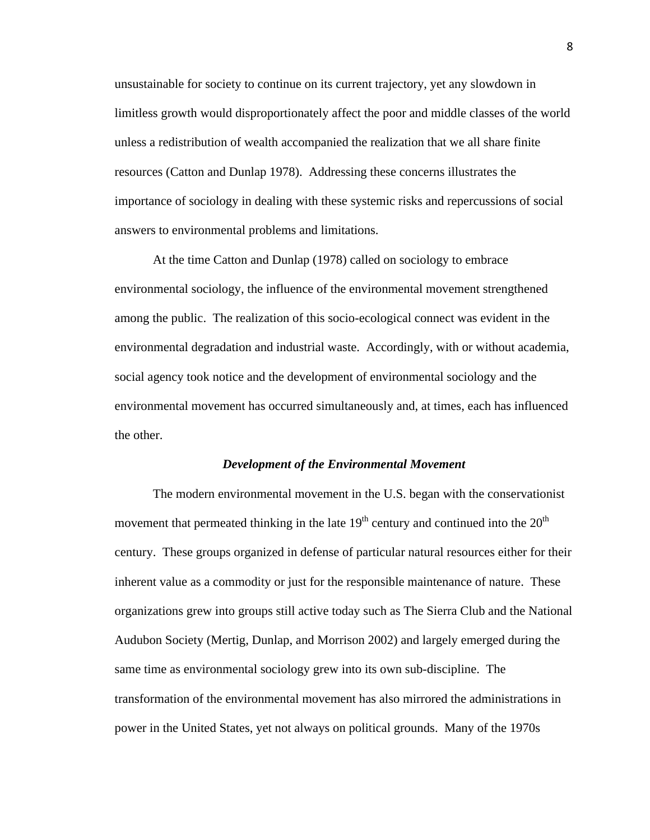unsustainable for society to continue on its current trajectory, yet any slowdown in limitless growth would disproportionately affect the poor and middle classes of the world unless a redistribution of wealth accompanied the realization that we all share finite resources (Catton and Dunlap 1978). Addressing these concerns illustrates the importance of sociology in dealing with these systemic risks and repercussions of social answers to environmental problems and limitations.

At the time Catton and Dunlap (1978) called on sociology to embrace environmental sociology, the influence of the environmental movement strengthened among the public. The realization of this socio-ecological connect was evident in the environmental degradation and industrial waste. Accordingly, with or without academia, social agency took notice and the development of environmental sociology and the environmental movement has occurred simultaneously and, at times, each has influenced the other.

#### *Development of the Environmental Movement*

The modern environmental movement in the U.S. began with the conservationist movement that permeated thinking in the late  $19<sup>th</sup>$  century and continued into the  $20<sup>th</sup>$ century. These groups organized in defense of particular natural resources either for their inherent value as a commodity or just for the responsible maintenance of nature. These organizations grew into groups still active today such as The Sierra Club and the National Audubon Society (Mertig, Dunlap, and Morrison 2002) and largely emerged during the same time as environmental sociology grew into its own sub-discipline. The transformation of the environmental movement has also mirrored the administrations in power in the United States, yet not always on political grounds. Many of the 1970s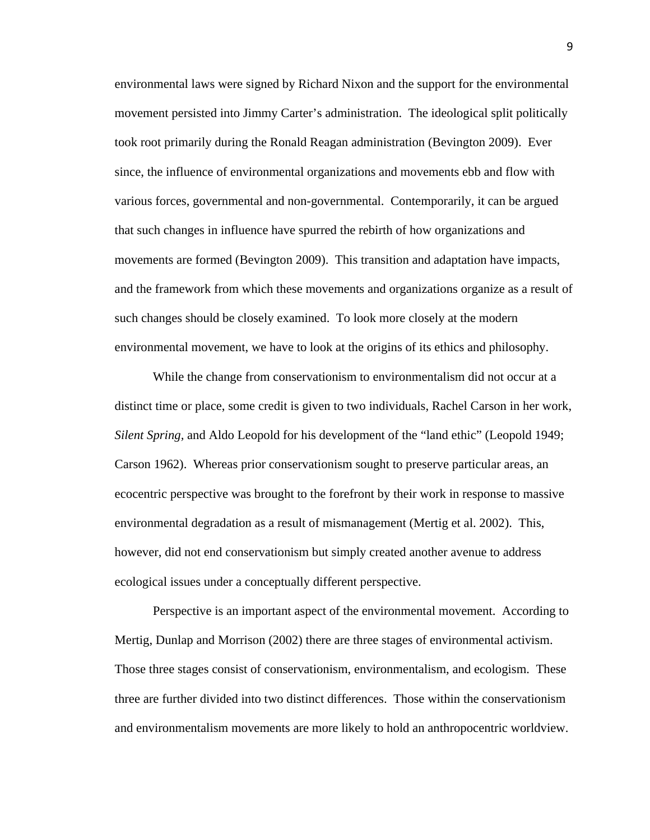environmental laws were signed by Richard Nixon and the support for the environmental movement persisted into Jimmy Carter's administration. The ideological split politically took root primarily during the Ronald Reagan administration (Bevington 2009). Ever since, the influence of environmental organizations and movements ebb and flow with various forces, governmental and non-governmental. Contemporarily, it can be argued that such changes in influence have spurred the rebirth of how organizations and movements are formed (Bevington 2009). This transition and adaptation have impacts, and the framework from which these movements and organizations organize as a result of such changes should be closely examined. To look more closely at the modern environmental movement, we have to look at the origins of its ethics and philosophy.

While the change from conservationism to environmentalism did not occur at a distinct time or place, some credit is given to two individuals, Rachel Carson in her work, *Silent Spring,* and Aldo Leopold for his development of the "land ethic" (Leopold 1949; Carson 1962). Whereas prior conservationism sought to preserve particular areas, an ecocentric perspective was brought to the forefront by their work in response to massive environmental degradation as a result of mismanagement (Mertig et al. 2002). This, however, did not end conservationism but simply created another avenue to address ecological issues under a conceptually different perspective.

Perspective is an important aspect of the environmental movement. According to Mertig, Dunlap and Morrison (2002) there are three stages of environmental activism. Those three stages consist of conservationism, environmentalism, and ecologism. These three are further divided into two distinct differences. Those within the conservationism and environmentalism movements are more likely to hold an anthropocentric worldview.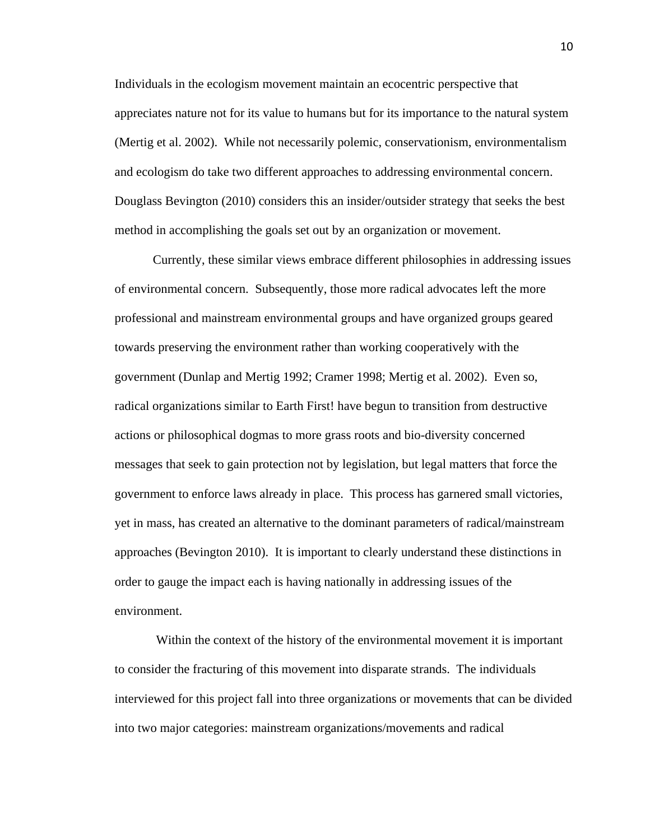Individuals in the ecologism movement maintain an ecocentric perspective that appreciates nature not for its value to humans but for its importance to the natural system (Mertig et al. 2002). While not necessarily polemic, conservationism, environmentalism and ecologism do take two different approaches to addressing environmental concern. Douglass Bevington (2010) considers this an insider/outsider strategy that seeks the best method in accomplishing the goals set out by an organization or movement.

Currently, these similar views embrace different philosophies in addressing issues of environmental concern. Subsequently, those more radical advocates left the more professional and mainstream environmental groups and have organized groups geared towards preserving the environment rather than working cooperatively with the government (Dunlap and Mertig 1992; Cramer 1998; Mertig et al. 2002). Even so, radical organizations similar to Earth First! have begun to transition from destructive actions or philosophical dogmas to more grass roots and bio-diversity concerned messages that seek to gain protection not by legislation, but legal matters that force the government to enforce laws already in place. This process has garnered small victories, yet in mass, has created an alternative to the dominant parameters of radical/mainstream approaches (Bevington 2010). It is important to clearly understand these distinctions in order to gauge the impact each is having nationally in addressing issues of the environment.

Within the context of the history of the environmental movement it is important to consider the fracturing of this movement into disparate strands. The individuals interviewed for this project fall into three organizations or movements that can be divided into two major categories: mainstream organizations/movements and radical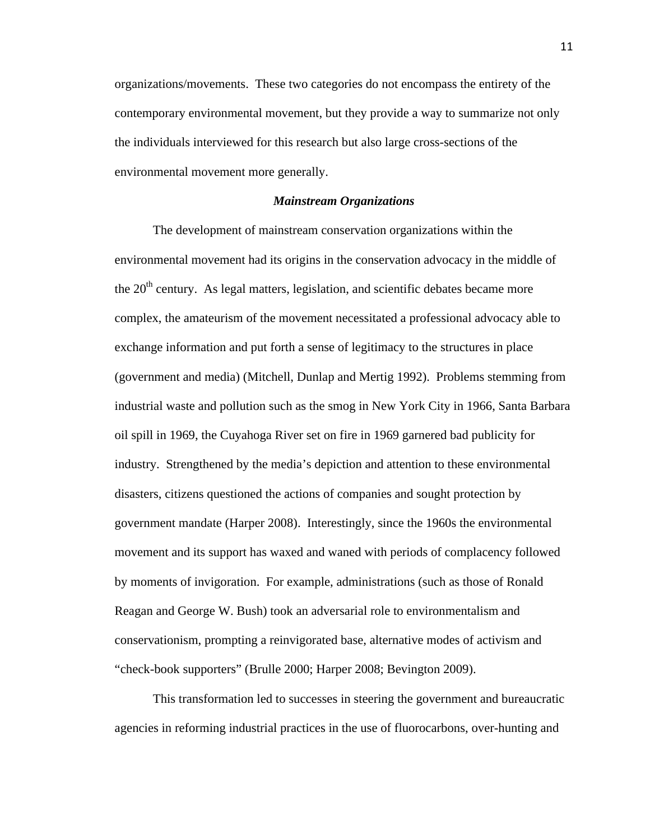organizations/movements. These two categories do not encompass the entirety of the contemporary environmental movement, but they provide a way to summarize not only the individuals interviewed for this research but also large cross-sections of the environmental movement more generally.

#### *Mainstream Organizations*

The development of mainstream conservation organizations within the environmental movement had its origins in the conservation advocacy in the middle of the  $20<sup>th</sup>$  century. As legal matters, legislation, and scientific debates became more complex, the amateurism of the movement necessitated a professional advocacy able to exchange information and put forth a sense of legitimacy to the structures in place (government and media) (Mitchell, Dunlap and Mertig 1992). Problems stemming from industrial waste and pollution such as the smog in New York City in 1966, Santa Barbara oil spill in 1969, the Cuyahoga River set on fire in 1969 garnered bad publicity for industry. Strengthened by the media's depiction and attention to these environmental disasters, citizens questioned the actions of companies and sought protection by government mandate (Harper 2008). Interestingly, since the 1960s the environmental movement and its support has waxed and waned with periods of complacency followed by moments of invigoration. For example, administrations (such as those of Ronald Reagan and George W. Bush) took an adversarial role to environmentalism and conservationism, prompting a reinvigorated base, alternative modes of activism and "check-book supporters" (Brulle 2000; Harper 2008; Bevington 2009).

This transformation led to successes in steering the government and bureaucratic agencies in reforming industrial practices in the use of fluorocarbons, over-hunting and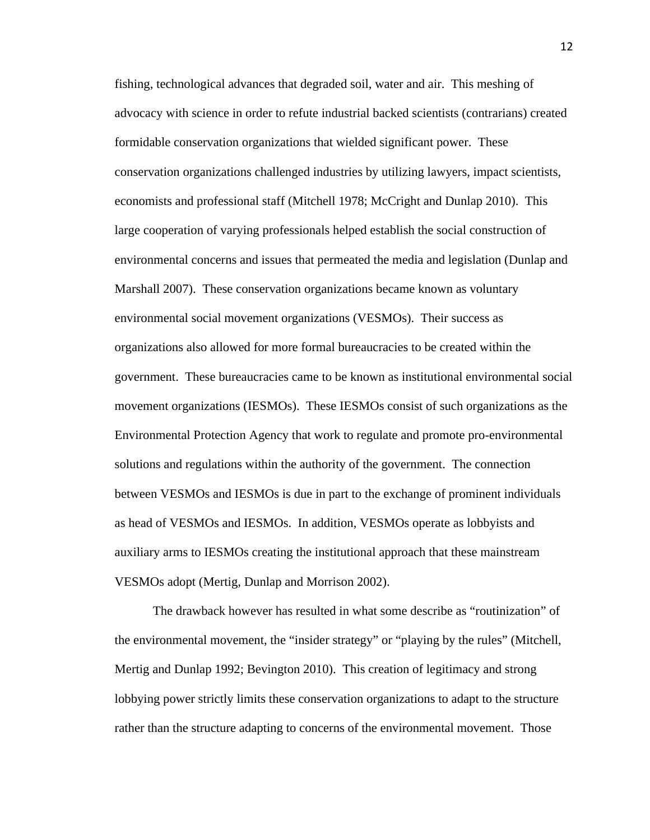fishing, technological advances that degraded soil, water and air. This meshing of advocacy with science in order to refute industrial backed scientists (contrarians) created formidable conservation organizations that wielded significant power. These conservation organizations challenged industries by utilizing lawyers, impact scientists, economists and professional staff (Mitchell 1978; McCright and Dunlap 2010). This large cooperation of varying professionals helped establish the social construction of environmental concerns and issues that permeated the media and legislation (Dunlap and Marshall 2007). These conservation organizations became known as voluntary environmental social movement organizations (VESMOs). Their success as organizations also allowed for more formal bureaucracies to be created within the government. These bureaucracies came to be known as institutional environmental social movement organizations (IESMOs). These IESMOs consist of such organizations as the Environmental Protection Agency that work to regulate and promote pro-environmental solutions and regulations within the authority of the government. The connection between VESMOs and IESMOs is due in part to the exchange of prominent individuals as head of VESMOs and IESMOs. In addition, VESMOs operate as lobbyists and auxiliary arms to IESMOs creating the institutional approach that these mainstream VESMOs adopt (Mertig, Dunlap and Morrison 2002).

The drawback however has resulted in what some describe as "routinization" of the environmental movement, the "insider strategy" or "playing by the rules" (Mitchell, Mertig and Dunlap 1992; Bevington 2010). This creation of legitimacy and strong lobbying power strictly limits these conservation organizations to adapt to the structure rather than the structure adapting to concerns of the environmental movement. Those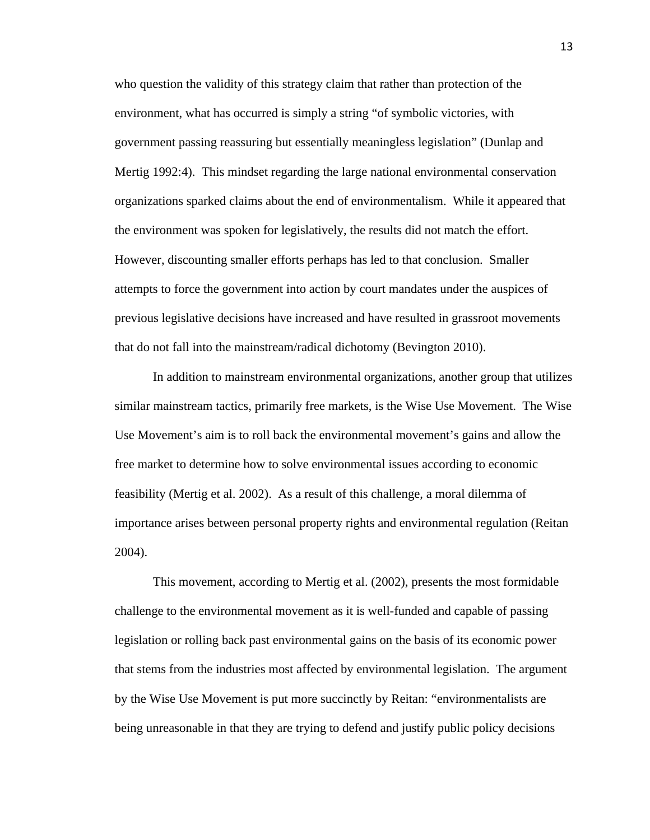who question the validity of this strategy claim that rather than protection of the environment, what has occurred is simply a string "of symbolic victories, with government passing reassuring but essentially meaningless legislation" (Dunlap and Mertig 1992:4). This mindset regarding the large national environmental conservation organizations sparked claims about the end of environmentalism. While it appeared that the environment was spoken for legislatively, the results did not match the effort. However, discounting smaller efforts perhaps has led to that conclusion. Smaller attempts to force the government into action by court mandates under the auspices of previous legislative decisions have increased and have resulted in grassroot movements that do not fall into the mainstream/radical dichotomy (Bevington 2010).

In addition to mainstream environmental organizations, another group that utilizes similar mainstream tactics, primarily free markets, is the Wise Use Movement. The Wise Use Movement's aim is to roll back the environmental movement's gains and allow the free market to determine how to solve environmental issues according to economic feasibility (Mertig et al. 2002). As a result of this challenge, a moral dilemma of importance arises between personal property rights and environmental regulation (Reitan 2004).

This movement, according to Mertig et al. (2002), presents the most formidable challenge to the environmental movement as it is well-funded and capable of passing legislation or rolling back past environmental gains on the basis of its economic power that stems from the industries most affected by environmental legislation. The argument by the Wise Use Movement is put more succinctly by Reitan: "environmentalists are being unreasonable in that they are trying to defend and justify public policy decisions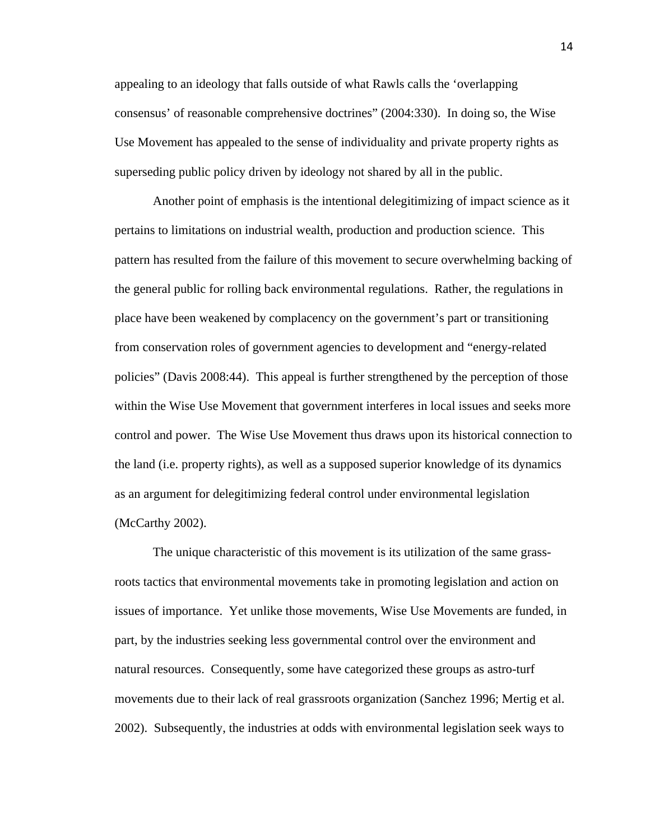appealing to an ideology that falls outside of what Rawls calls the 'overlapping consensus' of reasonable comprehensive doctrines" (2004:330). In doing so, the Wise Use Movement has appealed to the sense of individuality and private property rights as superseding public policy driven by ideology not shared by all in the public.

Another point of emphasis is the intentional delegitimizing of impact science as it pertains to limitations on industrial wealth, production and production science. This pattern has resulted from the failure of this movement to secure overwhelming backing of the general public for rolling back environmental regulations. Rather, the regulations in place have been weakened by complacency on the government's part or transitioning from conservation roles of government agencies to development and "energy-related policies" (Davis 2008:44). This appeal is further strengthened by the perception of those within the Wise Use Movement that government interferes in local issues and seeks more control and power. The Wise Use Movement thus draws upon its historical connection to the land (i.e. property rights), as well as a supposed superior knowledge of its dynamics as an argument for delegitimizing federal control under environmental legislation (McCarthy 2002).

The unique characteristic of this movement is its utilization of the same grassroots tactics that environmental movements take in promoting legislation and action on issues of importance. Yet unlike those movements, Wise Use Movements are funded, in part, by the industries seeking less governmental control over the environment and natural resources. Consequently, some have categorized these groups as astro-turf movements due to their lack of real grassroots organization (Sanchez 1996; Mertig et al. 2002). Subsequently, the industries at odds with environmental legislation seek ways to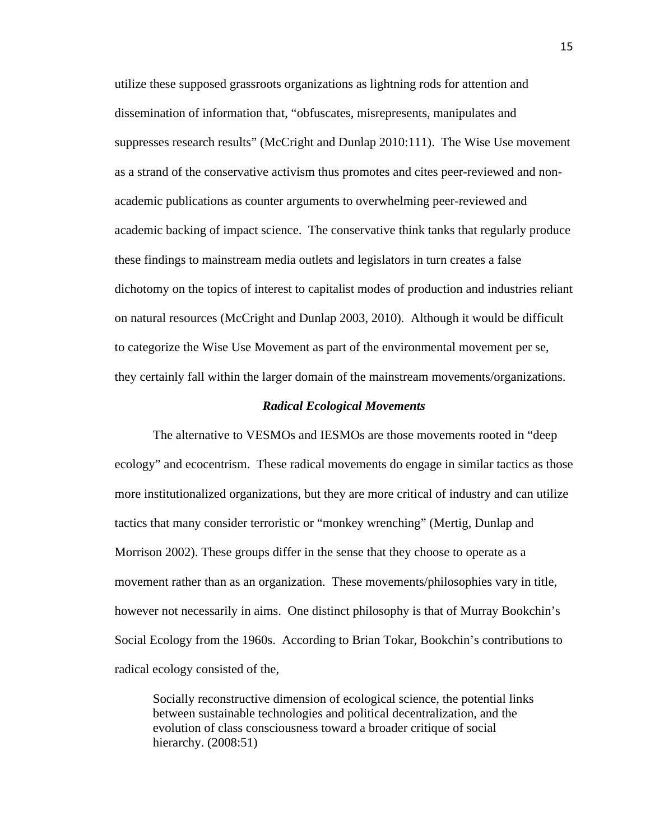utilize these supposed grassroots organizations as lightning rods for attention and dissemination of information that, "obfuscates, misrepresents, manipulates and suppresses research results" (McCright and Dunlap 2010:111). The Wise Use movement as a strand of the conservative activism thus promotes and cites peer-reviewed and nonacademic publications as counter arguments to overwhelming peer-reviewed and academic backing of impact science. The conservative think tanks that regularly produce these findings to mainstream media outlets and legislators in turn creates a false dichotomy on the topics of interest to capitalist modes of production and industries reliant on natural resources (McCright and Dunlap 2003, 2010). Although it would be difficult to categorize the Wise Use Movement as part of the environmental movement per se, they certainly fall within the larger domain of the mainstream movements/organizations.

#### *Radical Ecological Movements*

The alternative to VESMOs and IESMOs are those movements rooted in "deep ecology" and ecocentrism. These radical movements do engage in similar tactics as those more institutionalized organizations, but they are more critical of industry and can utilize tactics that many consider terroristic or "monkey wrenching" (Mertig, Dunlap and Morrison 2002). These groups differ in the sense that they choose to operate as a movement rather than as an organization. These movements/philosophies vary in title, however not necessarily in aims. One distinct philosophy is that of Murray Bookchin's Social Ecology from the 1960s. According to Brian Tokar, Bookchin's contributions to radical ecology consisted of the,

Socially reconstructive dimension of ecological science, the potential links between sustainable technologies and political decentralization, and the evolution of class consciousness toward a broader critique of social hierarchy. (2008:51)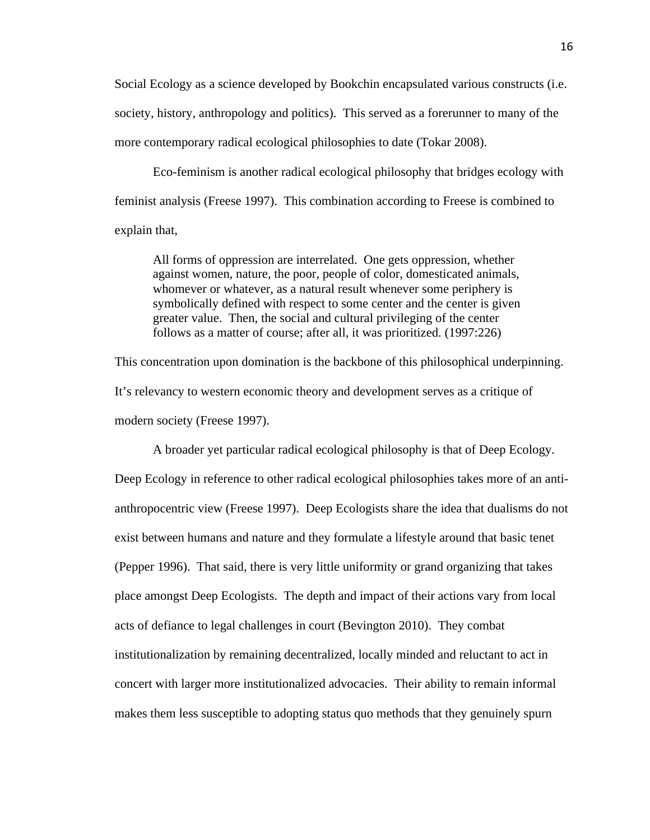Social Ecology as a science developed by Bookchin encapsulated various constructs (i.e. society, history, anthropology and politics). This served as a forerunner to many of the more contemporary radical ecological philosophies to date (Tokar 2008).

Eco-feminism is another radical ecological philosophy that bridges ecology with feminist analysis (Freese 1997). This combination according to Freese is combined to explain that,

All forms of oppression are interrelated. One gets oppression, whether against women, nature, the poor, people of color, domesticated animals, whomever or whatever, as a natural result whenever some periphery is symbolically defined with respect to some center and the center is given greater value. Then, the social and cultural privileging of the center follows as a matter of course; after all, it was prioritized. (1997:226)

This concentration upon domination is the backbone of this philosophical underpinning. It's relevancy to western economic theory and development serves as a critique of modern society (Freese 1997).

A broader yet particular radical ecological philosophy is that of Deep Ecology. Deep Ecology in reference to other radical ecological philosophies takes more of an antianthropocentric view (Freese 1997). Deep Ecologists share the idea that dualisms do not exist between humans and nature and they formulate a lifestyle around that basic tenet (Pepper 1996). That said, there is very little uniformity or grand organizing that takes place amongst Deep Ecologists. The depth and impact of their actions vary from local acts of defiance to legal challenges in court (Bevington 2010). They combat institutionalization by remaining decentralized, locally minded and reluctant to act in concert with larger more institutionalized advocacies. Their ability to remain informal makes them less susceptible to adopting status quo methods that they genuinely spurn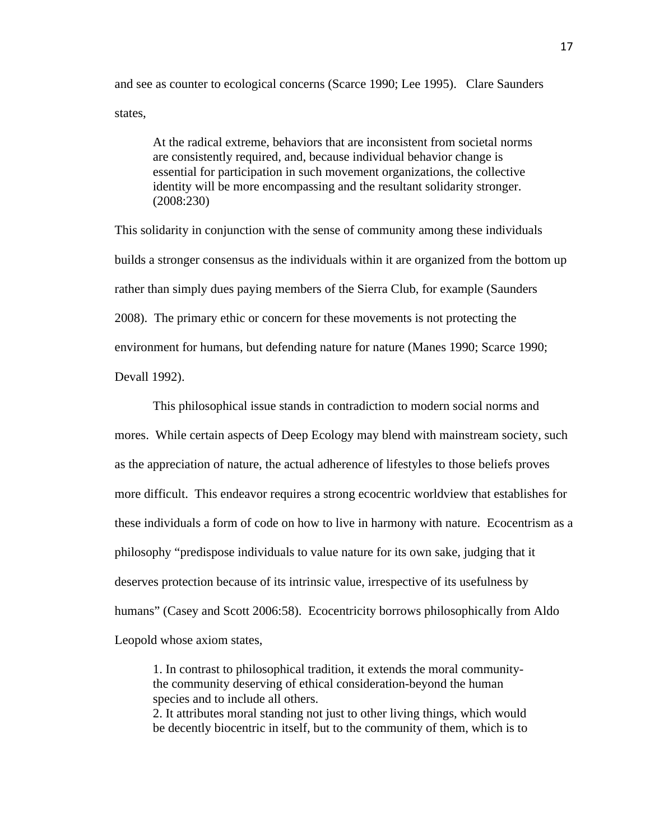and see as counter to ecological concerns (Scarce 1990; Lee 1995). Clare Saunders states,

At the radical extreme, behaviors that are inconsistent from societal norms are consistently required, and, because individual behavior change is essential for participation in such movement organizations, the collective identity will be more encompassing and the resultant solidarity stronger. (2008:230)

This solidarity in conjunction with the sense of community among these individuals builds a stronger consensus as the individuals within it are organized from the bottom up rather than simply dues paying members of the Sierra Club, for example (Saunders 2008). The primary ethic or concern for these movements is not protecting the environment for humans, but defending nature for nature (Manes 1990; Scarce 1990; Devall 1992).

This philosophical issue stands in contradiction to modern social norms and mores. While certain aspects of Deep Ecology may blend with mainstream society, such as the appreciation of nature, the actual adherence of lifestyles to those beliefs proves more difficult. This endeavor requires a strong ecocentric worldview that establishes for these individuals a form of code on how to live in harmony with nature. Ecocentrism as a philosophy "predispose individuals to value nature for its own sake, judging that it deserves protection because of its intrinsic value, irrespective of its usefulness by humans" (Casey and Scott 2006:58). Ecocentricity borrows philosophically from Aldo Leopold whose axiom states,

1. In contrast to philosophical tradition, it extends the moral communitythe community deserving of ethical consideration-beyond the human species and to include all others.

2. It attributes moral standing not just to other living things, which would be decently biocentric in itself, but to the community of them, which is to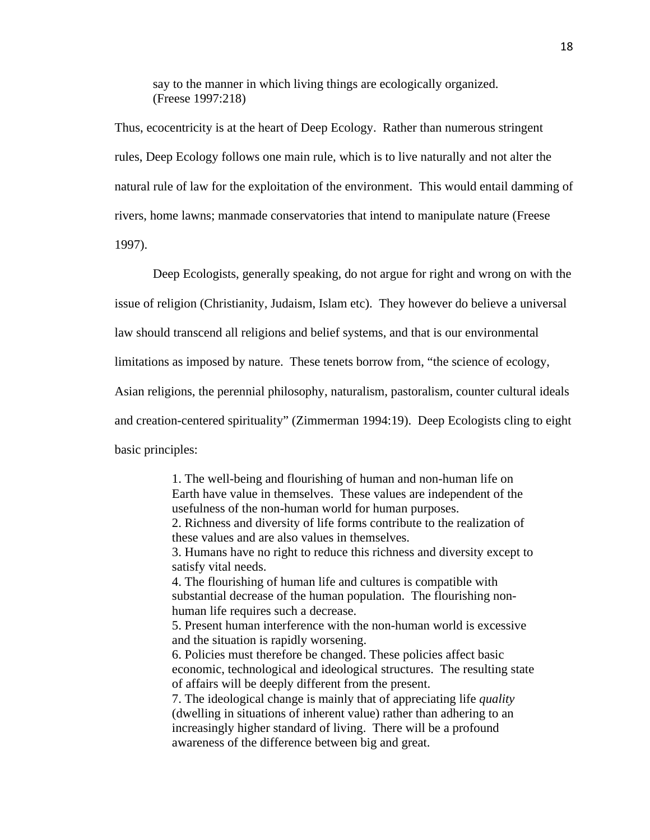say to the manner in which living things are ecologically organized. (Freese 1997:218)

Thus, ecocentricity is at the heart of Deep Ecology. Rather than numerous stringent rules, Deep Ecology follows one main rule, which is to live naturally and not alter the natural rule of law for the exploitation of the environment. This would entail damming of rivers, home lawns; manmade conservatories that intend to manipulate nature (Freese 1997).

Deep Ecologists, generally speaking, do not argue for right and wrong on with the issue of religion (Christianity, Judaism, Islam etc). They however do believe a universal law should transcend all religions and belief systems, and that is our environmental limitations as imposed by nature. These tenets borrow from, "the science of ecology, Asian religions, the perennial philosophy, naturalism, pastoralism, counter cultural ideals and creation-centered spirituality" (Zimmerman 1994:19). Deep Ecologists cling to eight basic principles:

> 1. The well-being and flourishing of human and non-human life on Earth have value in themselves. These values are independent of the usefulness of the non-human world for human purposes. 2. Richness and diversity of life forms contribute to the realization of these values and are also values in themselves. 3. Humans have no right to reduce this richness and diversity except to satisfy vital needs. 4. The flourishing of human life and cultures is compatible with substantial decrease of the human population. The flourishing nonhuman life requires such a decrease. 5. Present human interference with the non-human world is excessive and the situation is rapidly worsening. 6. Policies must therefore be changed. These policies affect basic economic, technological and ideological structures. The resulting state of affairs will be deeply different from the present. 7. The ideological change is mainly that of appreciating life *quality*  (dwelling in situations of inherent value) rather than adhering to an increasingly higher standard of living. There will be a profound awareness of the difference between big and great.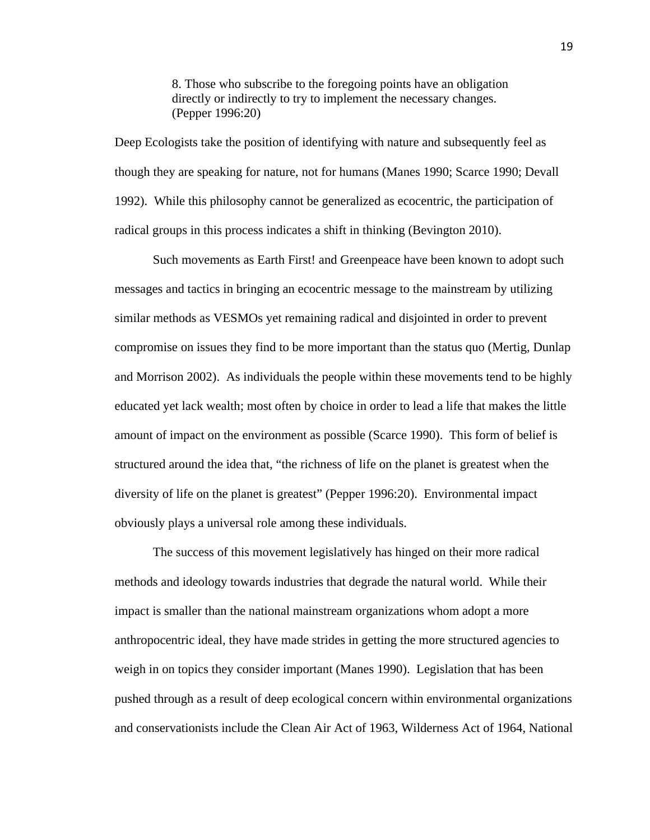8. Those who subscribe to the foregoing points have an obligation directly or indirectly to try to implement the necessary changes. (Pepper 1996:20)

Deep Ecologists take the position of identifying with nature and subsequently feel as though they are speaking for nature, not for humans (Manes 1990; Scarce 1990; Devall 1992). While this philosophy cannot be generalized as ecocentric, the participation of radical groups in this process indicates a shift in thinking (Bevington 2010).

Such movements as Earth First! and Greenpeace have been known to adopt such messages and tactics in bringing an ecocentric message to the mainstream by utilizing similar methods as VESMOs yet remaining radical and disjointed in order to prevent compromise on issues they find to be more important than the status quo (Mertig, Dunlap and Morrison 2002). As individuals the people within these movements tend to be highly educated yet lack wealth; most often by choice in order to lead a life that makes the little amount of impact on the environment as possible (Scarce 1990). This form of belief is structured around the idea that, "the richness of life on the planet is greatest when the diversity of life on the planet is greatest" (Pepper 1996:20). Environmental impact obviously plays a universal role among these individuals.

The success of this movement legislatively has hinged on their more radical methods and ideology towards industries that degrade the natural world. While their impact is smaller than the national mainstream organizations whom adopt a more anthropocentric ideal, they have made strides in getting the more structured agencies to weigh in on topics they consider important (Manes 1990). Legislation that has been pushed through as a result of deep ecological concern within environmental organizations and conservationists include the Clean Air Act of 1963, Wilderness Act of 1964, National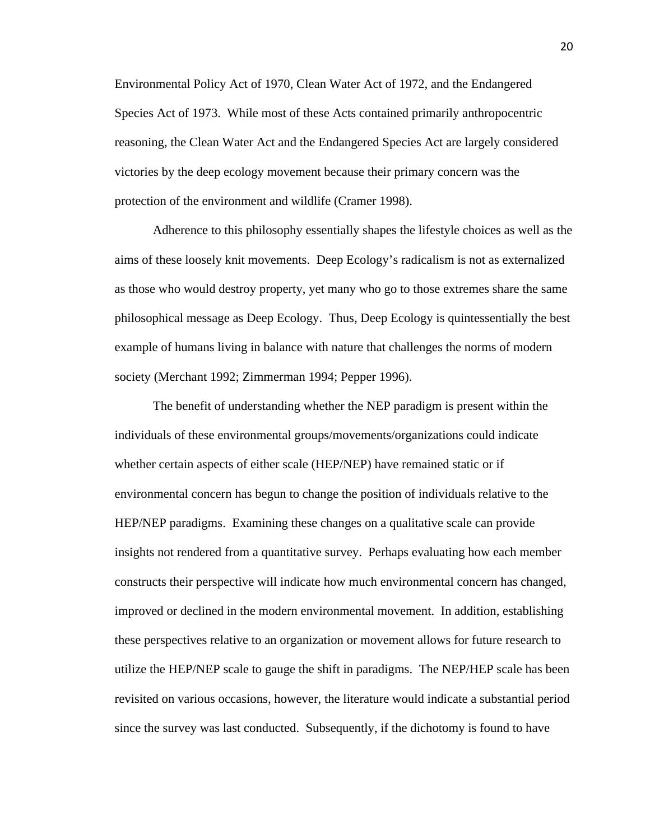Environmental Policy Act of 1970, Clean Water Act of 1972, and the Endangered Species Act of 1973. While most of these Acts contained primarily anthropocentric reasoning, the Clean Water Act and the Endangered Species Act are largely considered victories by the deep ecology movement because their primary concern was the protection of the environment and wildlife (Cramer 1998).

Adherence to this philosophy essentially shapes the lifestyle choices as well as the aims of these loosely knit movements. Deep Ecology's radicalism is not as externalized as those who would destroy property, yet many who go to those extremes share the same philosophical message as Deep Ecology. Thus, Deep Ecology is quintessentially the best example of humans living in balance with nature that challenges the norms of modern society (Merchant 1992; Zimmerman 1994; Pepper 1996).

The benefit of understanding whether the NEP paradigm is present within the individuals of these environmental groups/movements/organizations could indicate whether certain aspects of either scale (HEP/NEP) have remained static or if environmental concern has begun to change the position of individuals relative to the HEP/NEP paradigms. Examining these changes on a qualitative scale can provide insights not rendered from a quantitative survey. Perhaps evaluating how each member constructs their perspective will indicate how much environmental concern has changed, improved or declined in the modern environmental movement. In addition, establishing these perspectives relative to an organization or movement allows for future research to utilize the HEP/NEP scale to gauge the shift in paradigms. The NEP/HEP scale has been revisited on various occasions, however, the literature would indicate a substantial period since the survey was last conducted. Subsequently, if the dichotomy is found to have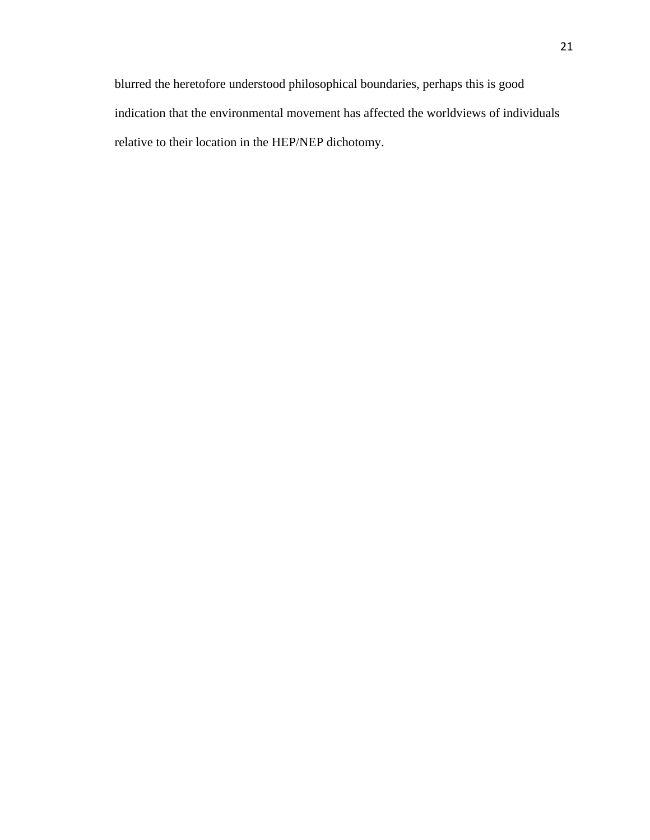blurred the heretofore understood philosophical boundaries, perhaps this is good indication that the environmental movement has affected the worldviews of individuals relative to their location in the HEP/NEP dichotomy.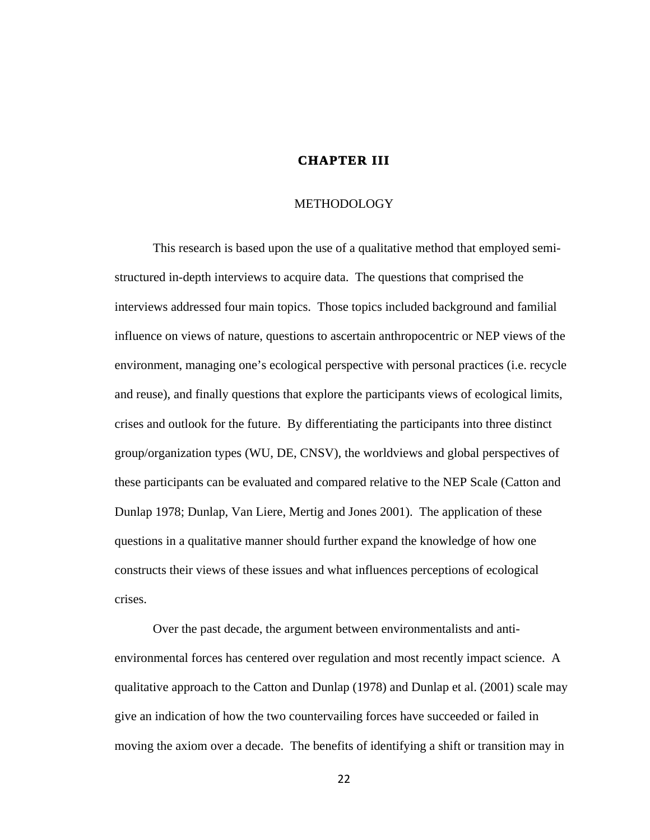# **CHAPTER III**

#### **METHODOLOGY**

This research is based upon the use of a qualitative method that employed semistructured in-depth interviews to acquire data. The questions that comprised the interviews addressed four main topics. Those topics included background and familial influence on views of nature, questions to ascertain anthropocentric or NEP views of the environment, managing one's ecological perspective with personal practices (i.e. recycle and reuse), and finally questions that explore the participants views of ecological limits, crises and outlook for the future. By differentiating the participants into three distinct group/organization types (WU, DE, CNSV), the worldviews and global perspectives of these participants can be evaluated and compared relative to the NEP Scale (Catton and Dunlap 1978; Dunlap, Van Liere, Mertig and Jones 2001). The application of these questions in a qualitative manner should further expand the knowledge of how one constructs their views of these issues and what influences perceptions of ecological crises.

Over the past decade, the argument between environmentalists and antienvironmental forces has centered over regulation and most recently impact science. A qualitative approach to the Catton and Dunlap (1978) and Dunlap et al. (2001) scale may give an indication of how the two countervailing forces have succeeded or failed in moving the axiom over a decade. The benefits of identifying a shift or transition may in

 $22$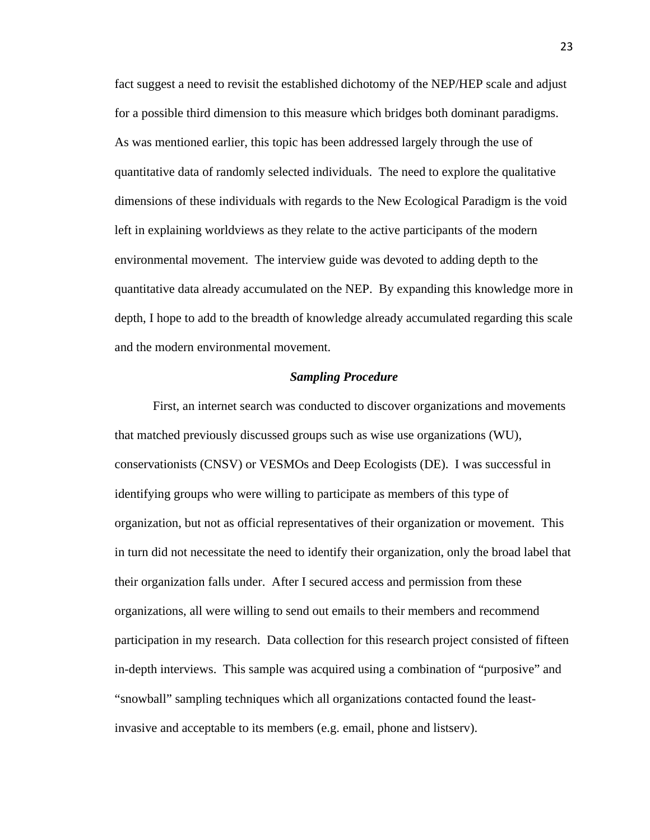fact suggest a need to revisit the established dichotomy of the NEP/HEP scale and adjust for a possible third dimension to this measure which bridges both dominant paradigms. As was mentioned earlier, this topic has been addressed largely through the use of quantitative data of randomly selected individuals. The need to explore the qualitative dimensions of these individuals with regards to the New Ecological Paradigm is the void left in explaining worldviews as they relate to the active participants of the modern environmental movement. The interview guide was devoted to adding depth to the quantitative data already accumulated on the NEP. By expanding this knowledge more in depth, I hope to add to the breadth of knowledge already accumulated regarding this scale and the modern environmental movement.

#### *Sampling Procedure*

First, an internet search was conducted to discover organizations and movements that matched previously discussed groups such as wise use organizations (WU), conservationists (CNSV) or VESMOs and Deep Ecologists (DE). I was successful in identifying groups who were willing to participate as members of this type of organization, but not as official representatives of their organization or movement. This in turn did not necessitate the need to identify their organization, only the broad label that their organization falls under. After I secured access and permission from these organizations, all were willing to send out emails to their members and recommend participation in my research. Data collection for this research project consisted of fifteen in-depth interviews. This sample was acquired using a combination of "purposive" and "snowball" sampling techniques which all organizations contacted found the leastinvasive and acceptable to its members (e.g. email, phone and listserv).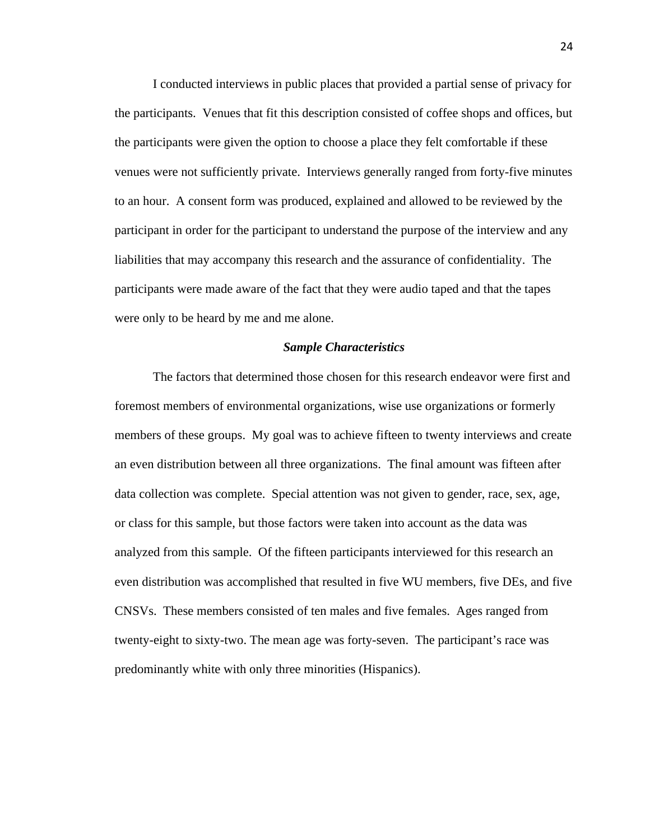I conducted interviews in public places that provided a partial sense of privacy for the participants. Venues that fit this description consisted of coffee shops and offices, but the participants were given the option to choose a place they felt comfortable if these venues were not sufficiently private. Interviews generally ranged from forty-five minutes to an hour. A consent form was produced, explained and allowed to be reviewed by the participant in order for the participant to understand the purpose of the interview and any liabilities that may accompany this research and the assurance of confidentiality. The participants were made aware of the fact that they were audio taped and that the tapes were only to be heard by me and me alone.

#### *Sample Characteristics*

The factors that determined those chosen for this research endeavor were first and foremost members of environmental organizations, wise use organizations or formerly members of these groups. My goal was to achieve fifteen to twenty interviews and create an even distribution between all three organizations. The final amount was fifteen after data collection was complete. Special attention was not given to gender, race, sex, age, or class for this sample, but those factors were taken into account as the data was analyzed from this sample. Of the fifteen participants interviewed for this research an even distribution was accomplished that resulted in five WU members, five DEs, and five CNSVs. These members consisted of ten males and five females. Ages ranged from twenty-eight to sixty-two. The mean age was forty-seven. The participant's race was predominantly white with only three minorities (Hispanics).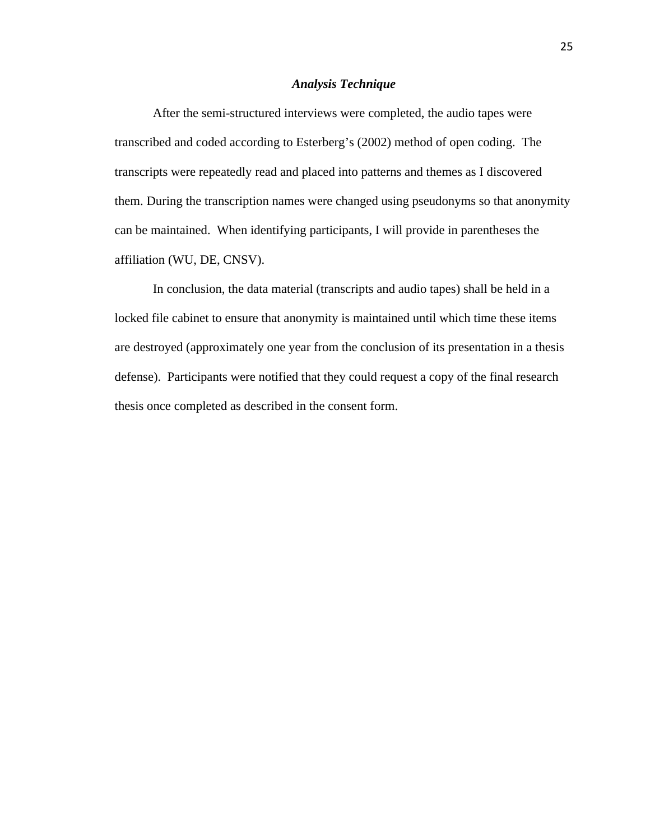#### *Analysis Technique*

After the semi-structured interviews were completed, the audio tapes were transcribed and coded according to Esterberg's (2002) method of open coding. The transcripts were repeatedly read and placed into patterns and themes as I discovered them. During the transcription names were changed using pseudonyms so that anonymity can be maintained. When identifying participants, I will provide in parentheses the affiliation (WU, DE, CNSV).

In conclusion, the data material (transcripts and audio tapes) shall be held in a locked file cabinet to ensure that anonymity is maintained until which time these items are destroyed (approximately one year from the conclusion of its presentation in a thesis defense). Participants were notified that they could request a copy of the final research thesis once completed as described in the consent form.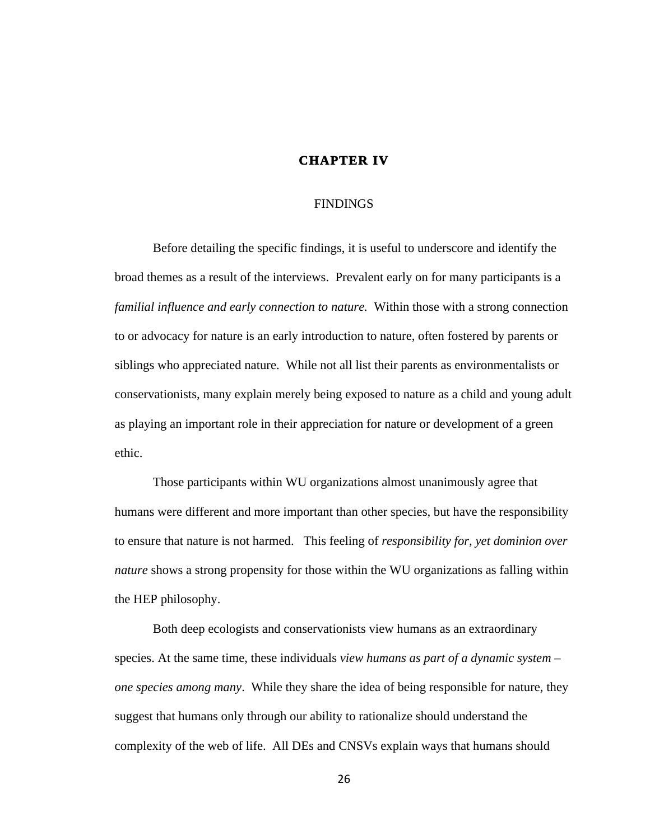# **CHAPTER IV**

#### FINDINGS

Before detailing the specific findings, it is useful to underscore and identify the broad themes as a result of the interviews. Prevalent early on for many participants is a *familial influence and early connection to nature.* Within those with a strong connection to or advocacy for nature is an early introduction to nature, often fostered by parents or siblings who appreciated nature. While not all list their parents as environmentalists or conservationists, many explain merely being exposed to nature as a child and young adult as playing an important role in their appreciation for nature or development of a green ethic.

Those participants within WU organizations almost unanimously agree that humans were different and more important than other species, but have the responsibility to ensure that nature is not harmed. This feeling of *responsibility for, yet dominion over nature* shows a strong propensity for those within the WU organizations as falling within the HEP philosophy.

Both deep ecologists and conservationists view humans as an extraordinary species. At the same time, these individuals *view humans as part of a dynamic system – one species among many*. While they share the idea of being responsible for nature, they suggest that humans only through our ability to rationalize should understand the complexity of the web of life. All DEs and CNSVs explain ways that humans should

26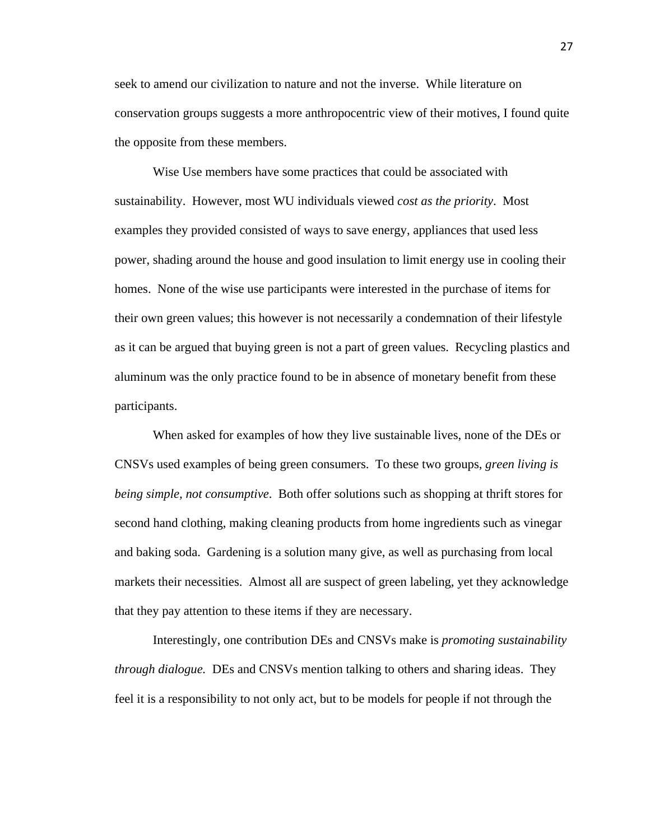seek to amend our civilization to nature and not the inverse. While literature on conservation groups suggests a more anthropocentric view of their motives, I found quite the opposite from these members.

Wise Use members have some practices that could be associated with sustainability. However, most WU individuals viewed *cost as the priority*. Most examples they provided consisted of ways to save energy, appliances that used less power, shading around the house and good insulation to limit energy use in cooling their homes. None of the wise use participants were interested in the purchase of items for their own green values; this however is not necessarily a condemnation of their lifestyle as it can be argued that buying green is not a part of green values. Recycling plastics and aluminum was the only practice found to be in absence of monetary benefit from these participants.

When asked for examples of how they live sustainable lives, none of the DEs or CNSVs used examples of being green consumers. To these two groups, *green living is being simple, not consumptive*. Both offer solutions such as shopping at thrift stores for second hand clothing, making cleaning products from home ingredients such as vinegar and baking soda. Gardening is a solution many give, as well as purchasing from local markets their necessities. Almost all are suspect of green labeling, yet they acknowledge that they pay attention to these items if they are necessary.

Interestingly, one contribution DEs and CNSVs make is *promoting sustainability through dialogue.* DEs and CNSVs mention talking to others and sharing ideas. They feel it is a responsibility to not only act, but to be models for people if not through the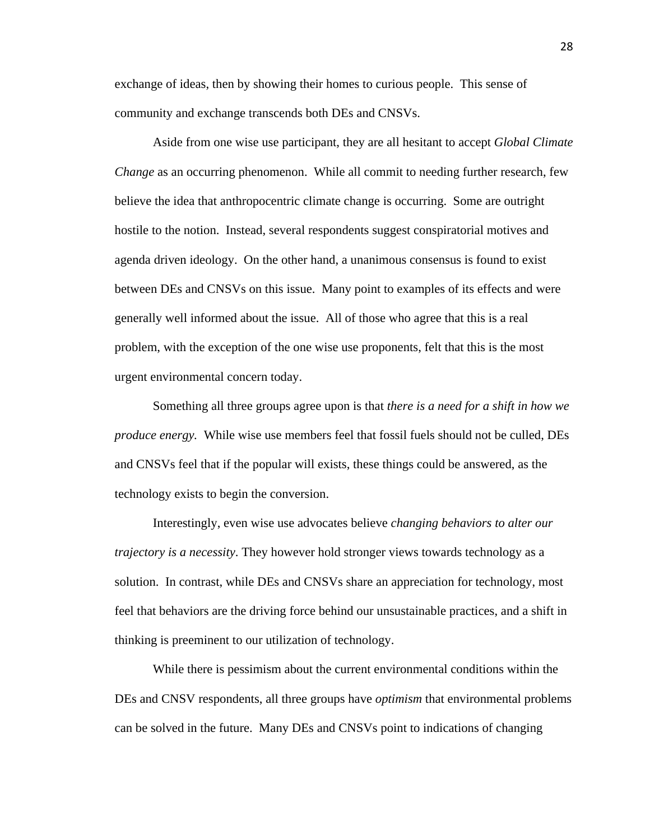exchange of ideas, then by showing their homes to curious people. This sense of community and exchange transcends both DEs and CNSVs.

Aside from one wise use participant, they are all hesitant to accept *Global Climate Change* as an occurring phenomenon. While all commit to needing further research, few believe the idea that anthropocentric climate change is occurring. Some are outright hostile to the notion. Instead, several respondents suggest conspiratorial motives and agenda driven ideology. On the other hand, a unanimous consensus is found to exist between DEs and CNSVs on this issue. Many point to examples of its effects and were generally well informed about the issue. All of those who agree that this is a real problem, with the exception of the one wise use proponents, felt that this is the most urgent environmental concern today.

Something all three groups agree upon is that *there is a need for a shift in how we produce energy.* While wise use members feel that fossil fuels should not be culled, DEs and CNSVs feel that if the popular will exists, these things could be answered, as the technology exists to begin the conversion.

Interestingly, even wise use advocates believe *changing behaviors to alter our trajectory is a necessity*. They however hold stronger views towards technology as a solution. In contrast, while DEs and CNSVs share an appreciation for technology, most feel that behaviors are the driving force behind our unsustainable practices, and a shift in thinking is preeminent to our utilization of technology.

While there is pessimism about the current environmental conditions within the DEs and CNSV respondents, all three groups have *optimism* that environmental problems can be solved in the future. Many DEs and CNSVs point to indications of changing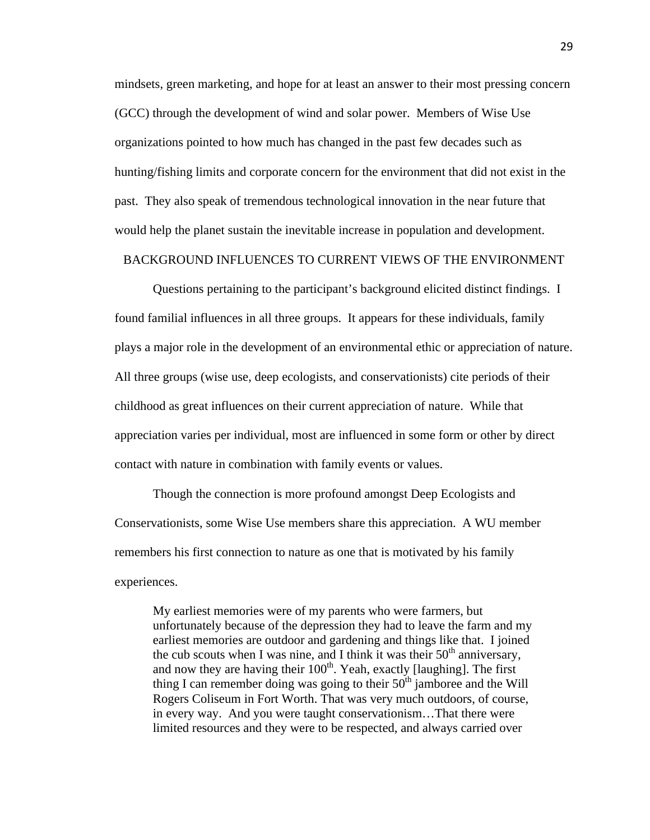mindsets, green marketing, and hope for at least an answer to their most pressing concern (GCC) through the development of wind and solar power. Members of Wise Use organizations pointed to how much has changed in the past few decades such as hunting/fishing limits and corporate concern for the environment that did not exist in the past. They also speak of tremendous technological innovation in the near future that would help the planet sustain the inevitable increase in population and development.

#### BACKGROUND INFLUENCES TO CURRENT VIEWS OF THE ENVIRONMENT

Questions pertaining to the participant's background elicited distinct findings. I found familial influences in all three groups. It appears for these individuals, family plays a major role in the development of an environmental ethic or appreciation of nature. All three groups (wise use, deep ecologists, and conservationists) cite periods of their childhood as great influences on their current appreciation of nature. While that appreciation varies per individual, most are influenced in some form or other by direct contact with nature in combination with family events or values.

Though the connection is more profound amongst Deep Ecologists and Conservationists, some Wise Use members share this appreciation. A WU member remembers his first connection to nature as one that is motivated by his family experiences.

My earliest memories were of my parents who were farmers, but unfortunately because of the depression they had to leave the farm and my earliest memories are outdoor and gardening and things like that. I joined the cub scouts when I was nine, and I think it was their  $50<sup>th</sup>$  anniversary, and now they are having their  $100<sup>th</sup>$ . Yeah, exactly [laughing]. The first thing I can remember doing was going to their  $50<sup>th</sup>$  jamboree and the Will Rogers Coliseum in Fort Worth. That was very much outdoors, of course, in every way. And you were taught conservationism…That there were limited resources and they were to be respected, and always carried over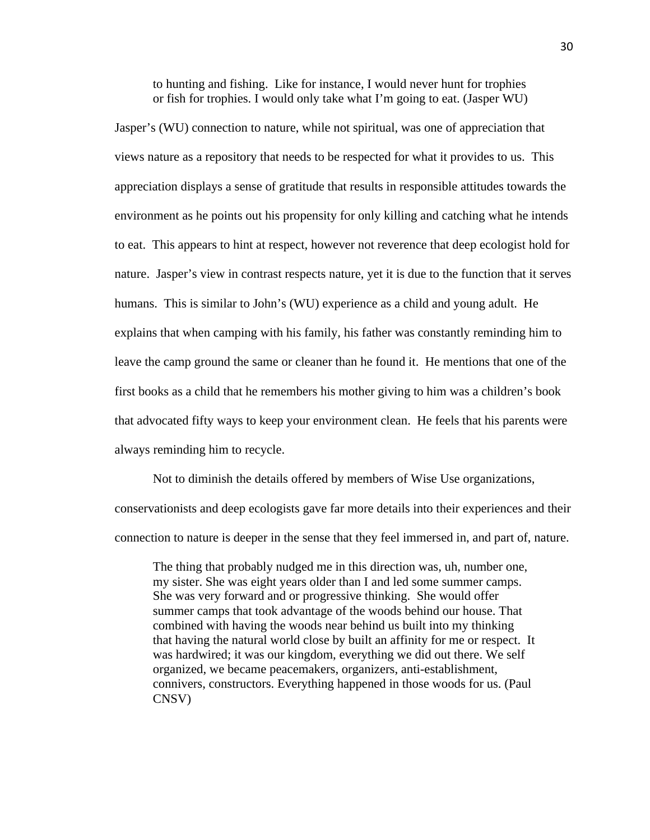to hunting and fishing. Like for instance, I would never hunt for trophies or fish for trophies. I would only take what I'm going to eat. (Jasper WU)

Jasper's (WU) connection to nature, while not spiritual, was one of appreciation that views nature as a repository that needs to be respected for what it provides to us. This appreciation displays a sense of gratitude that results in responsible attitudes towards the environment as he points out his propensity for only killing and catching what he intends to eat. This appears to hint at respect, however not reverence that deep ecologist hold for nature. Jasper's view in contrast respects nature, yet it is due to the function that it serves humans. This is similar to John's (WU) experience as a child and young adult. He explains that when camping with his family, his father was constantly reminding him to leave the camp ground the same or cleaner than he found it. He mentions that one of the first books as a child that he remembers his mother giving to him was a children's book that advocated fifty ways to keep your environment clean. He feels that his parents were always reminding him to recycle.

Not to diminish the details offered by members of Wise Use organizations,

conservationists and deep ecologists gave far more details into their experiences and their connection to nature is deeper in the sense that they feel immersed in, and part of, nature.

The thing that probably nudged me in this direction was, uh, number one, my sister. She was eight years older than I and led some summer camps. She was very forward and or progressive thinking. She would offer summer camps that took advantage of the woods behind our house. That combined with having the woods near behind us built into my thinking that having the natural world close by built an affinity for me or respect. It was hardwired; it was our kingdom, everything we did out there. We self organized, we became peacemakers, organizers, anti-establishment, connivers, constructors. Everything happened in those woods for us. (Paul CNSV)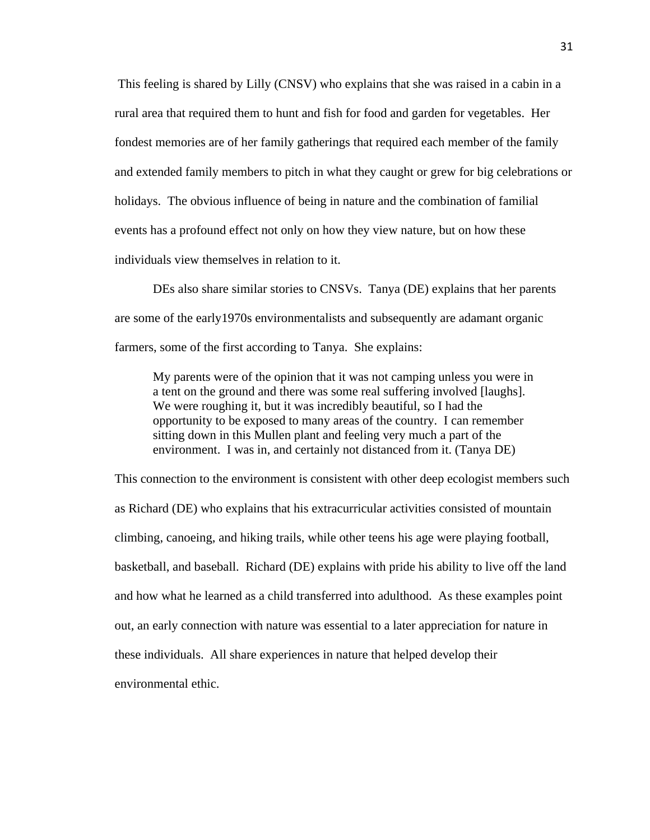This feeling is shared by Lilly (CNSV) who explains that she was raised in a cabin in a rural area that required them to hunt and fish for food and garden for vegetables. Her fondest memories are of her family gatherings that required each member of the family and extended family members to pitch in what they caught or grew for big celebrations or holidays. The obvious influence of being in nature and the combination of familial events has a profound effect not only on how they view nature, but on how these individuals view themselves in relation to it.

DEs also share similar stories to CNSVs. Tanya (DE) explains that her parents are some of the early1970s environmentalists and subsequently are adamant organic farmers, some of the first according to Tanya. She explains:

My parents were of the opinion that it was not camping unless you were in a tent on the ground and there was some real suffering involved [laughs]. We were roughing it, but it was incredibly beautiful, so I had the opportunity to be exposed to many areas of the country. I can remember sitting down in this Mullen plant and feeling very much a part of the environment. I was in, and certainly not distanced from it. (Tanya DE)

This connection to the environment is consistent with other deep ecologist members such as Richard (DE) who explains that his extracurricular activities consisted of mountain climbing, canoeing, and hiking trails, while other teens his age were playing football, basketball, and baseball. Richard (DE) explains with pride his ability to live off the land and how what he learned as a child transferred into adulthood. As these examples point out, an early connection with nature was essential to a later appreciation for nature in these individuals. All share experiences in nature that helped develop their environmental ethic.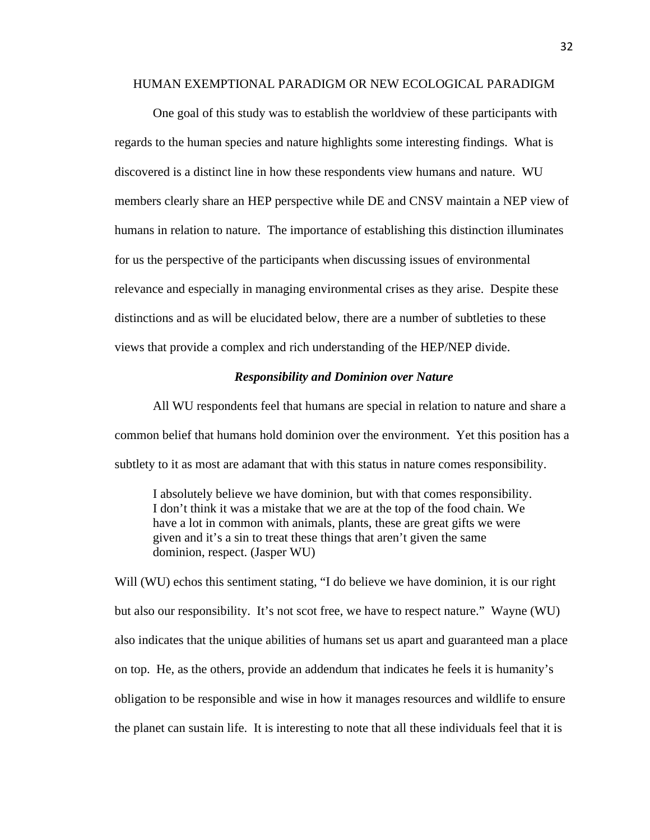#### HUMAN EXEMPTIONAL PARADIGM OR NEW ECOLOGICAL PARADIGM

One goal of this study was to establish the worldview of these participants with regards to the human species and nature highlights some interesting findings. What is discovered is a distinct line in how these respondents view humans and nature. WU members clearly share an HEP perspective while DE and CNSV maintain a NEP view of humans in relation to nature. The importance of establishing this distinction illuminates for us the perspective of the participants when discussing issues of environmental relevance and especially in managing environmental crises as they arise. Despite these distinctions and as will be elucidated below, there are a number of subtleties to these views that provide a complex and rich understanding of the HEP/NEP divide.

#### *Responsibility and Dominion over Nature*

All WU respondents feel that humans are special in relation to nature and share a common belief that humans hold dominion over the environment. Yet this position has a subtlety to it as most are adamant that with this status in nature comes responsibility.

I absolutely believe we have dominion, but with that comes responsibility. I don't think it was a mistake that we are at the top of the food chain. We have a lot in common with animals, plants, these are great gifts we were given and it's a sin to treat these things that aren't given the same dominion, respect. (Jasper WU)

Will (WU) echos this sentiment stating, "I do believe we have dominion, it is our right but also our responsibility. It's not scot free, we have to respect nature." Wayne (WU) also indicates that the unique abilities of humans set us apart and guaranteed man a place on top. He, as the others, provide an addendum that indicates he feels it is humanity's obligation to be responsible and wise in how it manages resources and wildlife to ensure the planet can sustain life. It is interesting to note that all these individuals feel that it is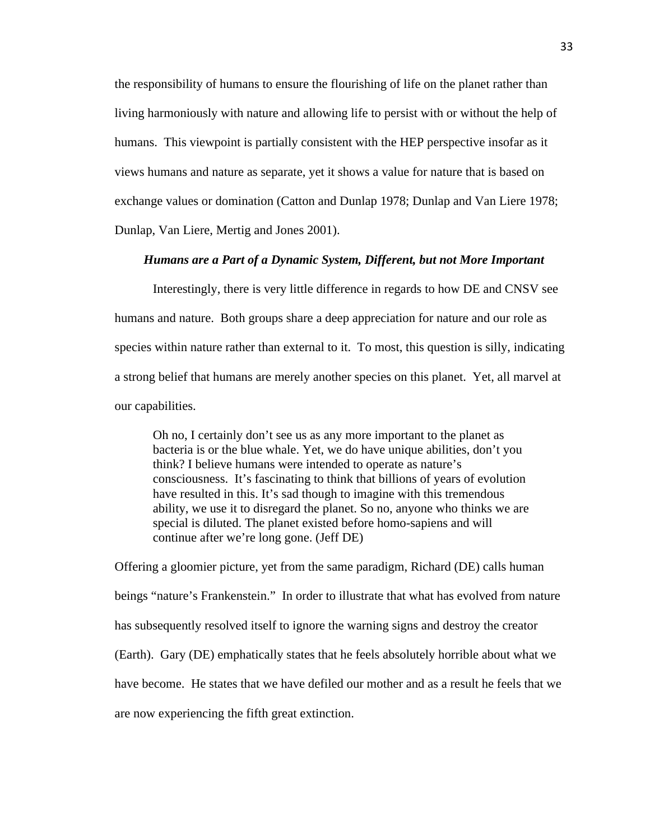the responsibility of humans to ensure the flourishing of life on the planet rather than living harmoniously with nature and allowing life to persist with or without the help of humans. This viewpoint is partially consistent with the HEP perspective insofar as it views humans and nature as separate, yet it shows a value for nature that is based on exchange values or domination (Catton and Dunlap 1978; Dunlap and Van Liere 1978; Dunlap, Van Liere, Mertig and Jones 2001).

### *Humans are a Part of a Dynamic System, Different, but not More Important*

Interestingly, there is very little difference in regards to how DE and CNSV see humans and nature. Both groups share a deep appreciation for nature and our role as species within nature rather than external to it. To most, this question is silly, indicating a strong belief that humans are merely another species on this planet. Yet, all marvel at our capabilities.

Oh no, I certainly don't see us as any more important to the planet as bacteria is or the blue whale. Yet, we do have unique abilities, don't you think? I believe humans were intended to operate as nature's consciousness. It's fascinating to think that billions of years of evolution have resulted in this. It's sad though to imagine with this tremendous ability, we use it to disregard the planet. So no, anyone who thinks we are special is diluted. The planet existed before homo-sapiens and will continue after we're long gone. (Jeff DE)

Offering a gloomier picture, yet from the same paradigm, Richard (DE) calls human beings "nature's Frankenstein." In order to illustrate that what has evolved from nature has subsequently resolved itself to ignore the warning signs and destroy the creator (Earth). Gary (DE) emphatically states that he feels absolutely horrible about what we have become. He states that we have defiled our mother and as a result he feels that we are now experiencing the fifth great extinction.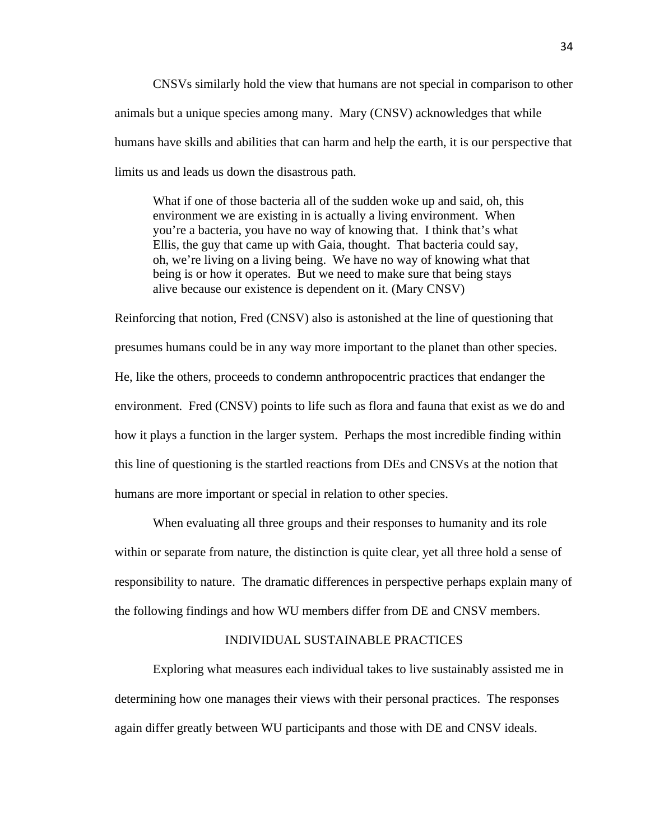CNSVs similarly hold the view that humans are not special in comparison to other animals but a unique species among many. Mary (CNSV) acknowledges that while humans have skills and abilities that can harm and help the earth, it is our perspective that limits us and leads us down the disastrous path.

What if one of those bacteria all of the sudden woke up and said, oh, this environment we are existing in is actually a living environment. When you're a bacteria, you have no way of knowing that. I think that's what Ellis, the guy that came up with Gaia, thought. That bacteria could say, oh, we're living on a living being. We have no way of knowing what that being is or how it operates. But we need to make sure that being stays alive because our existence is dependent on it. (Mary CNSV)

Reinforcing that notion, Fred (CNSV) also is astonished at the line of questioning that presumes humans could be in any way more important to the planet than other species. He, like the others, proceeds to condemn anthropocentric practices that endanger the environment. Fred (CNSV) points to life such as flora and fauna that exist as we do and how it plays a function in the larger system. Perhaps the most incredible finding within this line of questioning is the startled reactions from DEs and CNSVs at the notion that humans are more important or special in relation to other species.

When evaluating all three groups and their responses to humanity and its role within or separate from nature, the distinction is quite clear, yet all three hold a sense of responsibility to nature. The dramatic differences in perspective perhaps explain many of the following findings and how WU members differ from DE and CNSV members.

### INDIVIDUAL SUSTAINABLE PRACTICES

Exploring what measures each individual takes to live sustainably assisted me in determining how one manages their views with their personal practices. The responses again differ greatly between WU participants and those with DE and CNSV ideals.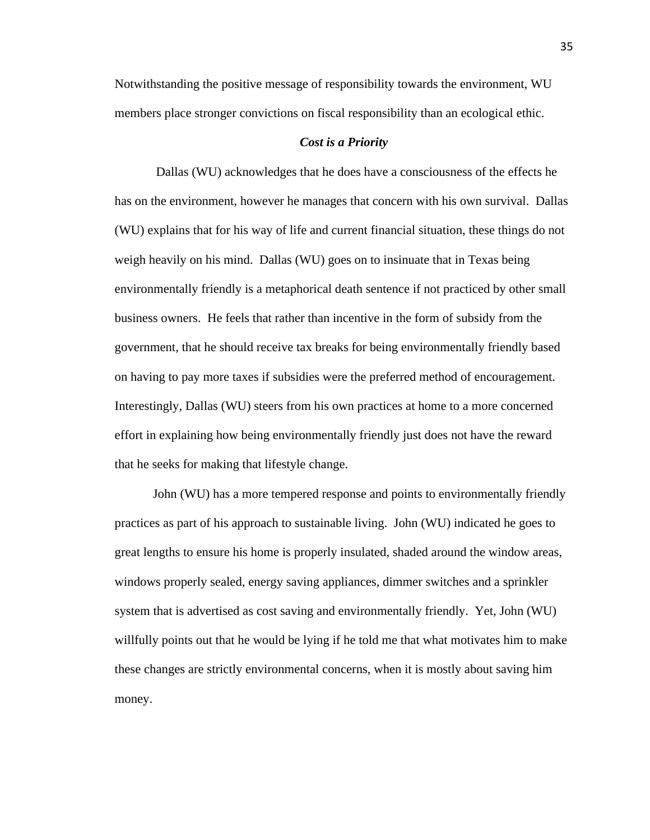Notwithstanding the positive message of responsibility towards the environment, WU members place stronger convictions on fiscal responsibility than an ecological ethic.

#### *Cost is a Priority*

 Dallas (WU) acknowledges that he does have a consciousness of the effects he has on the environment, however he manages that concern with his own survival. Dallas (WU) explains that for his way of life and current financial situation, these things do not weigh heavily on his mind. Dallas (WU) goes on to insinuate that in Texas being environmentally friendly is a metaphorical death sentence if not practiced by other small business owners. He feels that rather than incentive in the form of subsidy from the government, that he should receive tax breaks for being environmentally friendly based on having to pay more taxes if subsidies were the preferred method of encouragement. Interestingly, Dallas (WU) steers from his own practices at home to a more concerned effort in explaining how being environmentally friendly just does not have the reward that he seeks for making that lifestyle change.

John (WU) has a more tempered response and points to environmentally friendly practices as part of his approach to sustainable living. John (WU) indicated he goes to great lengths to ensure his home is properly insulated, shaded around the window areas, windows properly sealed, energy saving appliances, dimmer switches and a sprinkler system that is advertised as cost saving and environmentally friendly. Yet, John (WU) willfully points out that he would be lying if he told me that what motivates him to make these changes are strictly environmental concerns, when it is mostly about saving him money.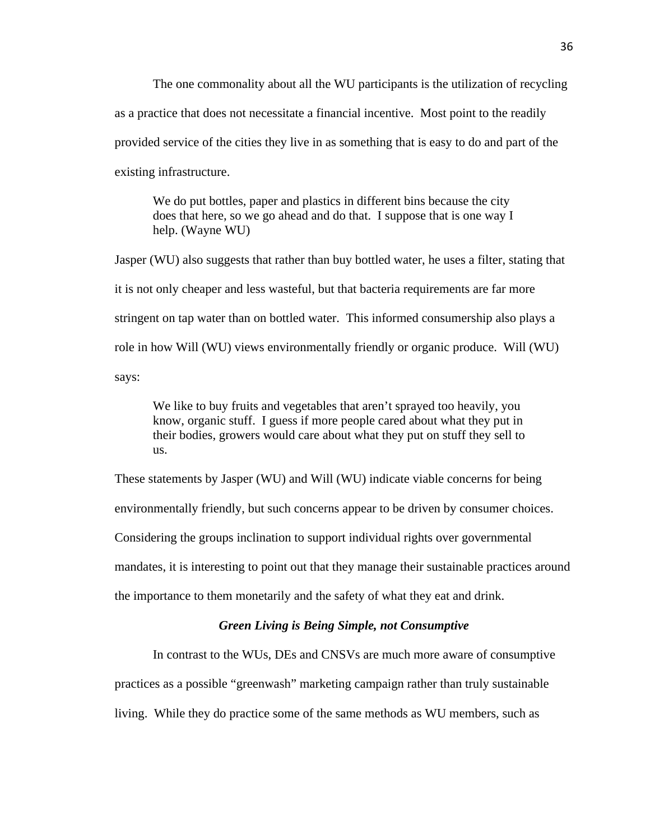The one commonality about all the WU participants is the utilization of recycling as a practice that does not necessitate a financial incentive. Most point to the readily provided service of the cities they live in as something that is easy to do and part of the existing infrastructure.

We do put bottles, paper and plastics in different bins because the city does that here, so we go ahead and do that. I suppose that is one way I help. (Wayne WU)

Jasper (WU) also suggests that rather than buy bottled water, he uses a filter, stating that it is not only cheaper and less wasteful, but that bacteria requirements are far more stringent on tap water than on bottled water. This informed consumership also plays a role in how Will (WU) views environmentally friendly or organic produce. Will (WU) says:

We like to buy fruits and vegetables that aren't sprayed too heavily, you know, organic stuff. I guess if more people cared about what they put in their bodies, growers would care about what they put on stuff they sell to us.

These statements by Jasper (WU) and Will (WU) indicate viable concerns for being environmentally friendly, but such concerns appear to be driven by consumer choices. Considering the groups inclination to support individual rights over governmental mandates, it is interesting to point out that they manage their sustainable practices around the importance to them monetarily and the safety of what they eat and drink.

### *Green Living is Being Simple, not Consumptive*

In contrast to the WUs, DEs and CNSVs are much more aware of consumptive

practices as a possible "greenwash" marketing campaign rather than truly sustainable

living. While they do practice some of the same methods as WU members, such as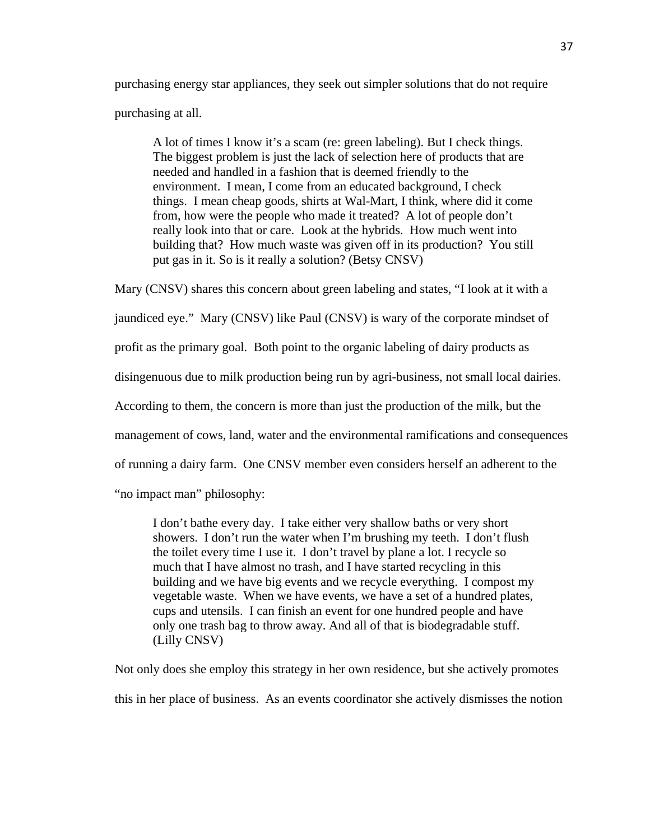purchasing energy star appliances, they seek out simpler solutions that do not require purchasing at all.

A lot of times I know it's a scam (re: green labeling). But I check things. The biggest problem is just the lack of selection here of products that are needed and handled in a fashion that is deemed friendly to the environment. I mean, I come from an educated background, I check things. I mean cheap goods, shirts at Wal-Mart, I think, where did it come from, how were the people who made it treated? A lot of people don't really look into that or care. Look at the hybrids. How much went into building that? How much waste was given off in its production? You still put gas in it. So is it really a solution? (Betsy CNSV)

Mary (CNSV) shares this concern about green labeling and states, "I look at it with a

jaundiced eye." Mary (CNSV) like Paul (CNSV) is wary of the corporate mindset of

profit as the primary goal. Both point to the organic labeling of dairy products as

disingenuous due to milk production being run by agri-business, not small local dairies.

According to them, the concern is more than just the production of the milk, but the

management of cows, land, water and the environmental ramifications and consequences

of running a dairy farm. One CNSV member even considers herself an adherent to the

"no impact man" philosophy:

I don't bathe every day. I take either very shallow baths or very short showers. I don't run the water when I'm brushing my teeth. I don't flush the toilet every time I use it. I don't travel by plane a lot. I recycle so much that I have almost no trash, and I have started recycling in this building and we have big events and we recycle everything. I compost my vegetable waste. When we have events, we have a set of a hundred plates, cups and utensils. I can finish an event for one hundred people and have only one trash bag to throw away. And all of that is biodegradable stuff. (Lilly CNSV)

Not only does she employ this strategy in her own residence, but she actively promotes this in her place of business. As an events coordinator she actively dismisses the notion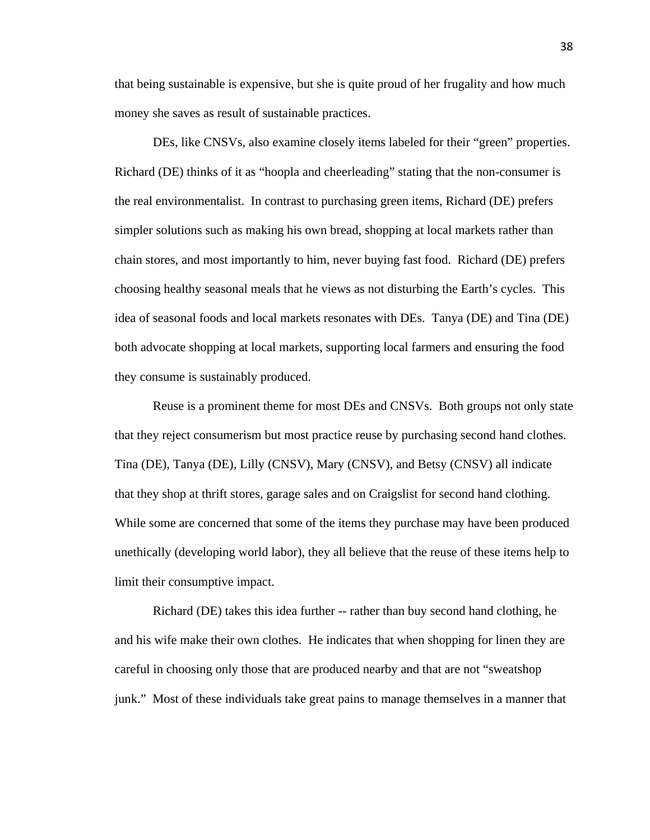that being sustainable is expensive, but she is quite proud of her frugality and how much money she saves as result of sustainable practices.

DEs, like CNSVs, also examine closely items labeled for their "green" properties. Richard (DE) thinks of it as "hoopla and cheerleading" stating that the non-consumer is the real environmentalist. In contrast to purchasing green items, Richard (DE) prefers simpler solutions such as making his own bread, shopping at local markets rather than chain stores, and most importantly to him, never buying fast food. Richard (DE) prefers choosing healthy seasonal meals that he views as not disturbing the Earth's cycles. This idea of seasonal foods and local markets resonates with DEs. Tanya (DE) and Tina (DE) both advocate shopping at local markets, supporting local farmers and ensuring the food they consume is sustainably produced.

Reuse is a prominent theme for most DEs and CNSVs. Both groups not only state that they reject consumerism but most practice reuse by purchasing second hand clothes. Tina (DE), Tanya (DE), Lilly (CNSV), Mary (CNSV), and Betsy (CNSV) all indicate that they shop at thrift stores, garage sales and on Craigslist for second hand clothing. While some are concerned that some of the items they purchase may have been produced unethically (developing world labor), they all believe that the reuse of these items help to limit their consumptive impact.

Richard (DE) takes this idea further -- rather than buy second hand clothing, he and his wife make their own clothes. He indicates that when shopping for linen they are careful in choosing only those that are produced nearby and that are not "sweatshop junk." Most of these individuals take great pains to manage themselves in a manner that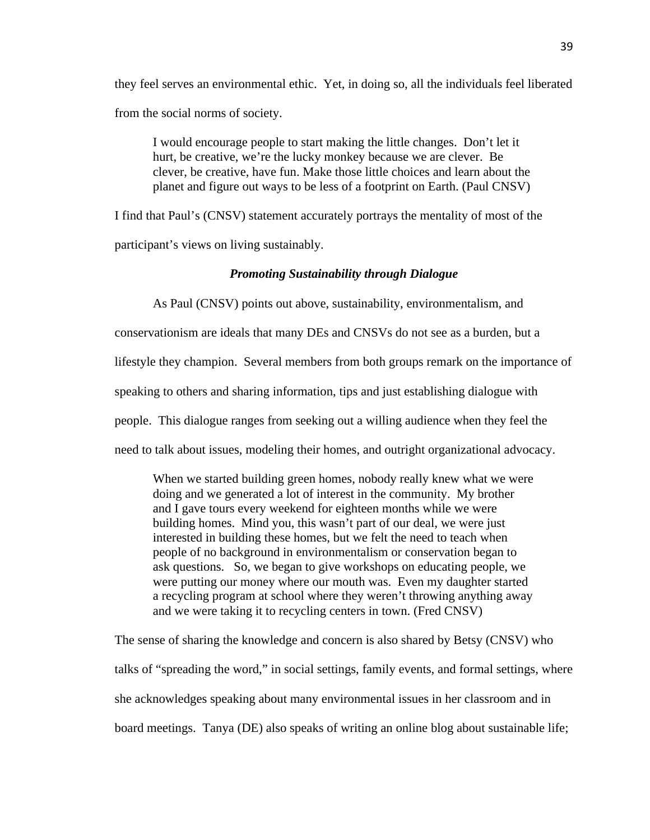they feel serves an environmental ethic. Yet, in doing so, all the individuals feel liberated from the social norms of society.

I would encourage people to start making the little changes. Don't let it hurt, be creative, we're the lucky monkey because we are clever. Be clever, be creative, have fun. Make those little choices and learn about the planet and figure out ways to be less of a footprint on Earth. (Paul CNSV)

I find that Paul's (CNSV) statement accurately portrays the mentality of most of the participant's views on living sustainably.

#### *Promoting Sustainability through Dialogue*

As Paul (CNSV) points out above, sustainability, environmentalism, and conservationism are ideals that many DEs and CNSVs do not see as a burden, but a lifestyle they champion. Several members from both groups remark on the importance of speaking to others and sharing information, tips and just establishing dialogue with people. This dialogue ranges from seeking out a willing audience when they feel the need to talk about issues, modeling their homes, and outright organizational advocacy.

When we started building green homes, nobody really knew what we were doing and we generated a lot of interest in the community. My brother and I gave tours every weekend for eighteen months while we were building homes. Mind you, this wasn't part of our deal, we were just interested in building these homes, but we felt the need to teach when people of no background in environmentalism or conservation began to ask questions. So, we began to give workshops on educating people, we were putting our money where our mouth was. Even my daughter started a recycling program at school where they weren't throwing anything away and we were taking it to recycling centers in town. (Fred CNSV)

The sense of sharing the knowledge and concern is also shared by Betsy (CNSV) who talks of "spreading the word," in social settings, family events, and formal settings, where she acknowledges speaking about many environmental issues in her classroom and in board meetings. Tanya (DE) also speaks of writing an online blog about sustainable life;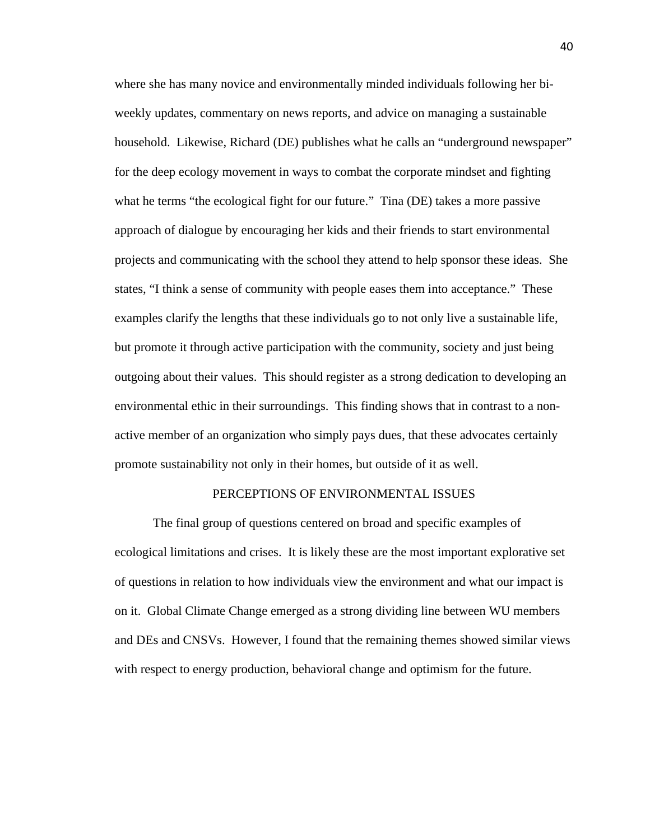where she has many novice and environmentally minded individuals following her biweekly updates, commentary on news reports, and advice on managing a sustainable household. Likewise, Richard (DE) publishes what he calls an "underground newspaper" for the deep ecology movement in ways to combat the corporate mindset and fighting what he terms "the ecological fight for our future." Tina (DE) takes a more passive approach of dialogue by encouraging her kids and their friends to start environmental projects and communicating with the school they attend to help sponsor these ideas. She states, "I think a sense of community with people eases them into acceptance." These examples clarify the lengths that these individuals go to not only live a sustainable life, but promote it through active participation with the community, society and just being outgoing about their values. This should register as a strong dedication to developing an environmental ethic in their surroundings. This finding shows that in contrast to a nonactive member of an organization who simply pays dues, that these advocates certainly promote sustainability not only in their homes, but outside of it as well.

#### PERCEPTIONS OF ENVIRONMENTAL ISSUES

The final group of questions centered on broad and specific examples of ecological limitations and crises. It is likely these are the most important explorative set of questions in relation to how individuals view the environment and what our impact is on it. Global Climate Change emerged as a strong dividing line between WU members and DEs and CNSVs. However, I found that the remaining themes showed similar views with respect to energy production, behavioral change and optimism for the future.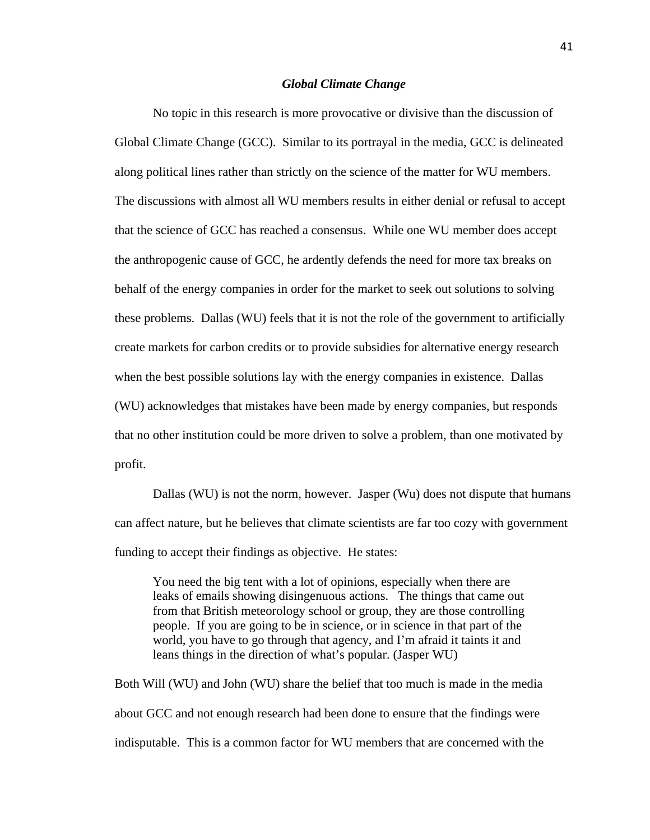#### *Global Climate Change*

No topic in this research is more provocative or divisive than the discussion of Global Climate Change (GCC). Similar to its portrayal in the media, GCC is delineated along political lines rather than strictly on the science of the matter for WU members. The discussions with almost all WU members results in either denial or refusal to accept that the science of GCC has reached a consensus. While one WU member does accept the anthropogenic cause of GCC, he ardently defends the need for more tax breaks on behalf of the energy companies in order for the market to seek out solutions to solving these problems. Dallas (WU) feels that it is not the role of the government to artificially create markets for carbon credits or to provide subsidies for alternative energy research when the best possible solutions lay with the energy companies in existence. Dallas (WU) acknowledges that mistakes have been made by energy companies, but responds that no other institution could be more driven to solve a problem, than one motivated by profit.

Dallas (WU) is not the norm, however. Jasper (Wu) does not dispute that humans can affect nature, but he believes that climate scientists are far too cozy with government funding to accept their findings as objective. He states:

You need the big tent with a lot of opinions, especially when there are leaks of emails showing disingenuous actions. The things that came out from that British meteorology school or group, they are those controlling people. If you are going to be in science, or in science in that part of the world, you have to go through that agency, and I'm afraid it taints it and leans things in the direction of what's popular. (Jasper WU)

Both Will (WU) and John (WU) share the belief that too much is made in the media about GCC and not enough research had been done to ensure that the findings were indisputable. This is a common factor for WU members that are concerned with the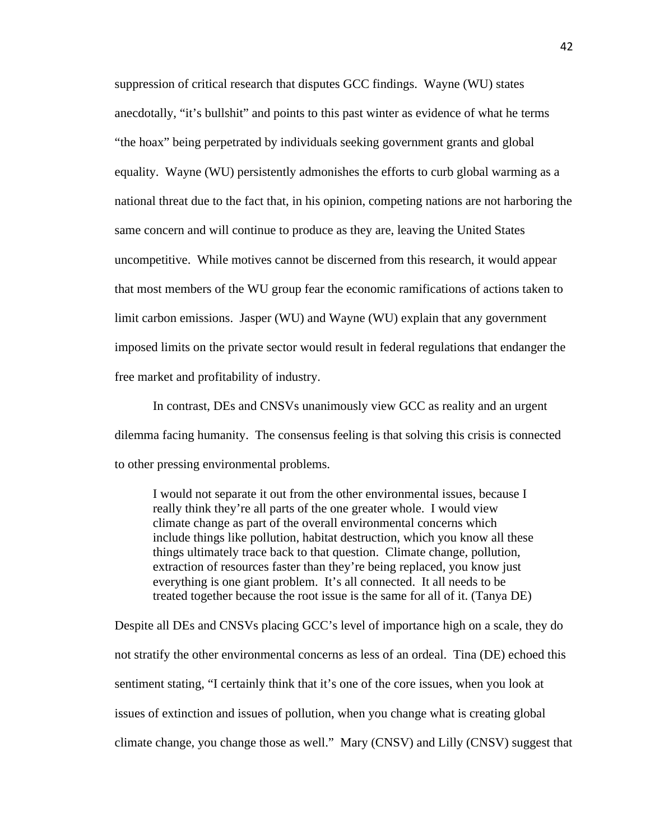suppression of critical research that disputes GCC findings. Wayne (WU) states anecdotally, "it's bullshit" and points to this past winter as evidence of what he terms "the hoax" being perpetrated by individuals seeking government grants and global equality. Wayne (WU) persistently admonishes the efforts to curb global warming as a national threat due to the fact that, in his opinion, competing nations are not harboring the same concern and will continue to produce as they are, leaving the United States uncompetitive. While motives cannot be discerned from this research, it would appear that most members of the WU group fear the economic ramifications of actions taken to limit carbon emissions. Jasper (WU) and Wayne (WU) explain that any government imposed limits on the private sector would result in federal regulations that endanger the free market and profitability of industry.

In contrast, DEs and CNSVs unanimously view GCC as reality and an urgent dilemma facing humanity. The consensus feeling is that solving this crisis is connected to other pressing environmental problems.

I would not separate it out from the other environmental issues, because I really think they're all parts of the one greater whole. I would view climate change as part of the overall environmental concerns which include things like pollution, habitat destruction, which you know all these things ultimately trace back to that question. Climate change, pollution, extraction of resources faster than they're being replaced, you know just everything is one giant problem. It's all connected. It all needs to be treated together because the root issue is the same for all of it. (Tanya DE)

Despite all DEs and CNSVs placing GCC's level of importance high on a scale, they do not stratify the other environmental concerns as less of an ordeal. Tina (DE) echoed this sentiment stating, "I certainly think that it's one of the core issues, when you look at issues of extinction and issues of pollution, when you change what is creating global climate change, you change those as well." Mary (CNSV) and Lilly (CNSV) suggest that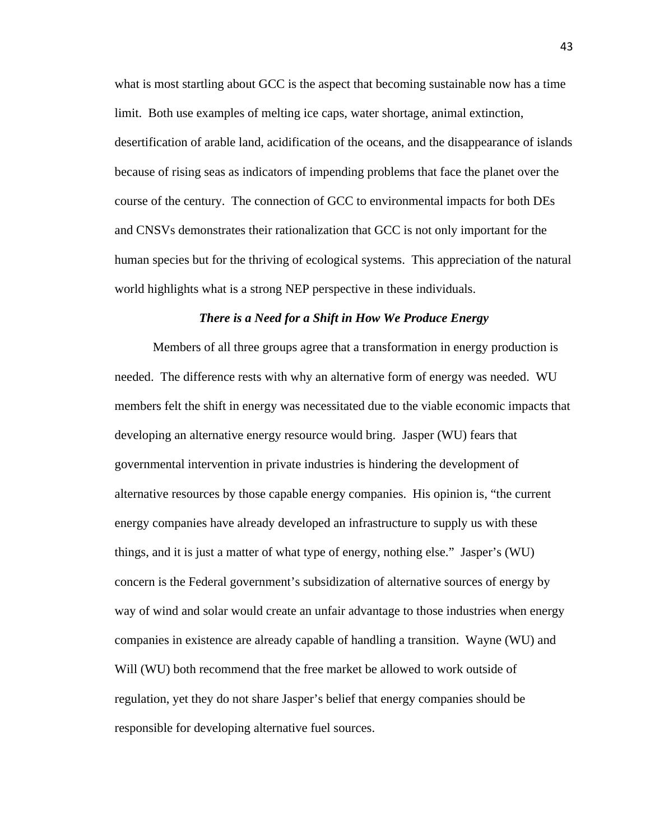what is most startling about GCC is the aspect that becoming sustainable now has a time limit. Both use examples of melting ice caps, water shortage, animal extinction, desertification of arable land, acidification of the oceans, and the disappearance of islands because of rising seas as indicators of impending problems that face the planet over the course of the century. The connection of GCC to environmental impacts for both DEs and CNSVs demonstrates their rationalization that GCC is not only important for the human species but for the thriving of ecological systems. This appreciation of the natural world highlights what is a strong NEP perspective in these individuals.

#### *There is a Need for a Shift in How We Produce Energy*

Members of all three groups agree that a transformation in energy production is needed. The difference rests with why an alternative form of energy was needed. WU members felt the shift in energy was necessitated due to the viable economic impacts that developing an alternative energy resource would bring. Jasper (WU) fears that governmental intervention in private industries is hindering the development of alternative resources by those capable energy companies. His opinion is, "the current energy companies have already developed an infrastructure to supply us with these things, and it is just a matter of what type of energy, nothing else." Jasper's (WU) concern is the Federal government's subsidization of alternative sources of energy by way of wind and solar would create an unfair advantage to those industries when energy companies in existence are already capable of handling a transition. Wayne (WU) and Will (WU) both recommend that the free market be allowed to work outside of regulation, yet they do not share Jasper's belief that energy companies should be responsible for developing alternative fuel sources.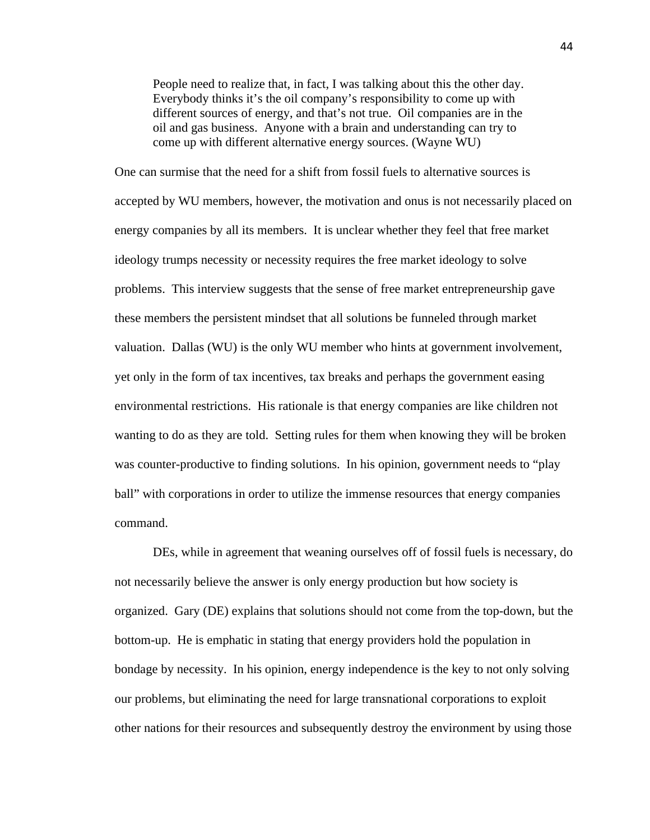People need to realize that, in fact, I was talking about this the other day. Everybody thinks it's the oil company's responsibility to come up with different sources of energy, and that's not true. Oil companies are in the oil and gas business. Anyone with a brain and understanding can try to come up with different alternative energy sources. (Wayne WU)

One can surmise that the need for a shift from fossil fuels to alternative sources is accepted by WU members, however, the motivation and onus is not necessarily placed on energy companies by all its members. It is unclear whether they feel that free market ideology trumps necessity or necessity requires the free market ideology to solve problems. This interview suggests that the sense of free market entrepreneurship gave these members the persistent mindset that all solutions be funneled through market valuation. Dallas (WU) is the only WU member who hints at government involvement, yet only in the form of tax incentives, tax breaks and perhaps the government easing environmental restrictions. His rationale is that energy companies are like children not wanting to do as they are told. Setting rules for them when knowing they will be broken was counter-productive to finding solutions. In his opinion, government needs to "play ball" with corporations in order to utilize the immense resources that energy companies command.

DEs, while in agreement that weaning ourselves off of fossil fuels is necessary, do not necessarily believe the answer is only energy production but how society is organized. Gary (DE) explains that solutions should not come from the top-down, but the bottom-up. He is emphatic in stating that energy providers hold the population in bondage by necessity. In his opinion, energy independence is the key to not only solving our problems, but eliminating the need for large transnational corporations to exploit other nations for their resources and subsequently destroy the environment by using those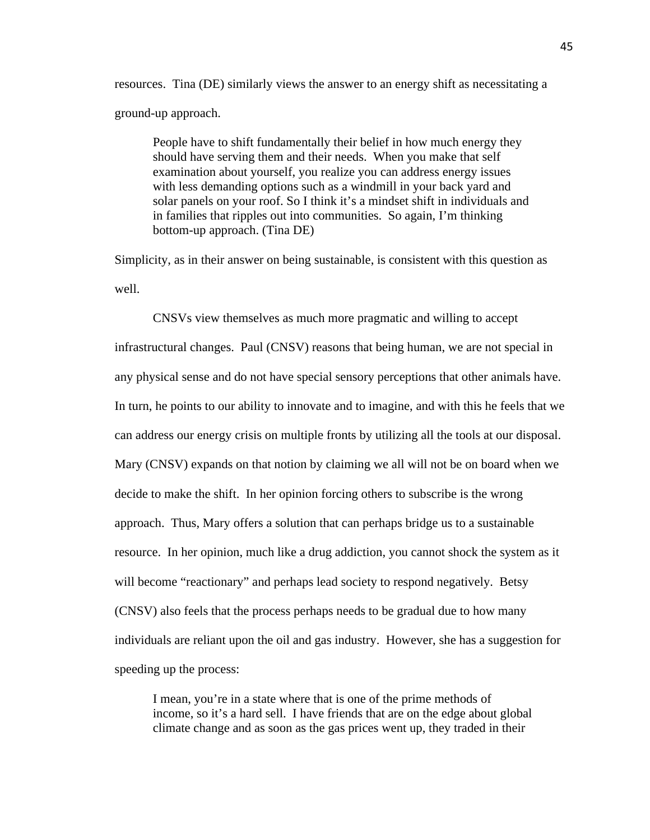resources. Tina (DE) similarly views the answer to an energy shift as necessitating a ground-up approach.

People have to shift fundamentally their belief in how much energy they should have serving them and their needs. When you make that self examination about yourself, you realize you can address energy issues with less demanding options such as a windmill in your back yard and solar panels on your roof. So I think it's a mindset shift in individuals and in families that ripples out into communities. So again, I'm thinking bottom-up approach. (Tina DE)

Simplicity, as in their answer on being sustainable, is consistent with this question as well.

CNSVs view themselves as much more pragmatic and willing to accept infrastructural changes. Paul (CNSV) reasons that being human, we are not special in any physical sense and do not have special sensory perceptions that other animals have. In turn, he points to our ability to innovate and to imagine, and with this he feels that we can address our energy crisis on multiple fronts by utilizing all the tools at our disposal. Mary (CNSV) expands on that notion by claiming we all will not be on board when we decide to make the shift. In her opinion forcing others to subscribe is the wrong approach. Thus, Mary offers a solution that can perhaps bridge us to a sustainable resource. In her opinion, much like a drug addiction, you cannot shock the system as it will become "reactionary" and perhaps lead society to respond negatively. Betsy (CNSV) also feels that the process perhaps needs to be gradual due to how many individuals are reliant upon the oil and gas industry. However, she has a suggestion for speeding up the process:

I mean, you're in a state where that is one of the prime methods of income, so it's a hard sell. I have friends that are on the edge about global climate change and as soon as the gas prices went up, they traded in their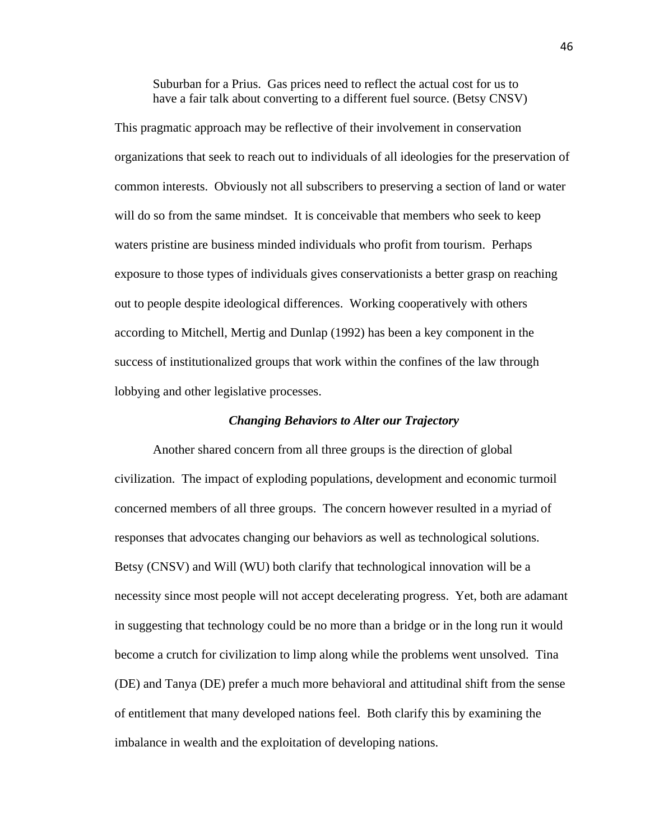Suburban for a Prius. Gas prices need to reflect the actual cost for us to have a fair talk about converting to a different fuel source. (Betsy CNSV)

This pragmatic approach may be reflective of their involvement in conservation organizations that seek to reach out to individuals of all ideologies for the preservation of common interests. Obviously not all subscribers to preserving a section of land or water will do so from the same mindset. It is conceivable that members who seek to keep waters pristine are business minded individuals who profit from tourism. Perhaps exposure to those types of individuals gives conservationists a better grasp on reaching out to people despite ideological differences. Working cooperatively with others according to Mitchell, Mertig and Dunlap (1992) has been a key component in the success of institutionalized groups that work within the confines of the law through lobbying and other legislative processes.

#### *Changing Behaviors to Alter our Trajectory*

Another shared concern from all three groups is the direction of global civilization. The impact of exploding populations, development and economic turmoil concerned members of all three groups. The concern however resulted in a myriad of responses that advocates changing our behaviors as well as technological solutions. Betsy (CNSV) and Will (WU) both clarify that technological innovation will be a necessity since most people will not accept decelerating progress. Yet, both are adamant in suggesting that technology could be no more than a bridge or in the long run it would become a crutch for civilization to limp along while the problems went unsolved. Tina (DE) and Tanya (DE) prefer a much more behavioral and attitudinal shift from the sense of entitlement that many developed nations feel. Both clarify this by examining the imbalance in wealth and the exploitation of developing nations.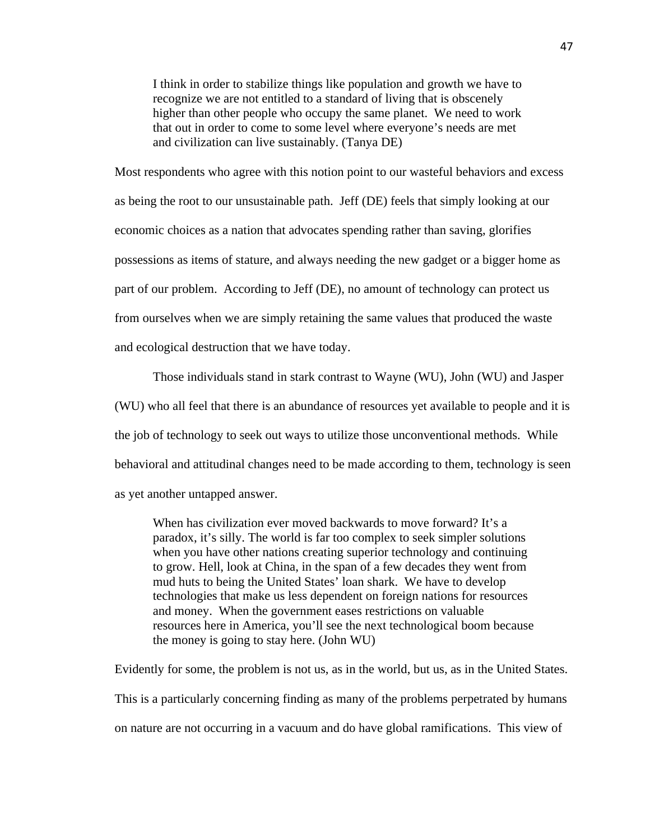I think in order to stabilize things like population and growth we have to recognize we are not entitled to a standard of living that is obscenely higher than other people who occupy the same planet. We need to work that out in order to come to some level where everyone's needs are met and civilization can live sustainably. (Tanya DE)

Most respondents who agree with this notion point to our wasteful behaviors and excess as being the root to our unsustainable path. Jeff (DE) feels that simply looking at our economic choices as a nation that advocates spending rather than saving, glorifies possessions as items of stature, and always needing the new gadget or a bigger home as part of our problem. According to Jeff (DE), no amount of technology can protect us from ourselves when we are simply retaining the same values that produced the waste and ecological destruction that we have today.

Those individuals stand in stark contrast to Wayne (WU), John (WU) and Jasper (WU) who all feel that there is an abundance of resources yet available to people and it is the job of technology to seek out ways to utilize those unconventional methods. While behavioral and attitudinal changes need to be made according to them, technology is seen as yet another untapped answer.

When has civilization ever moved backwards to move forward? It's a paradox, it's silly. The world is far too complex to seek simpler solutions when you have other nations creating superior technology and continuing to grow. Hell, look at China, in the span of a few decades they went from mud huts to being the United States' loan shark. We have to develop technologies that make us less dependent on foreign nations for resources and money. When the government eases restrictions on valuable resources here in America, you'll see the next technological boom because the money is going to stay here. (John WU)

Evidently for some, the problem is not us, as in the world, but us, as in the United States. This is a particularly concerning finding as many of the problems perpetrated by humans on nature are not occurring in a vacuum and do have global ramifications. This view of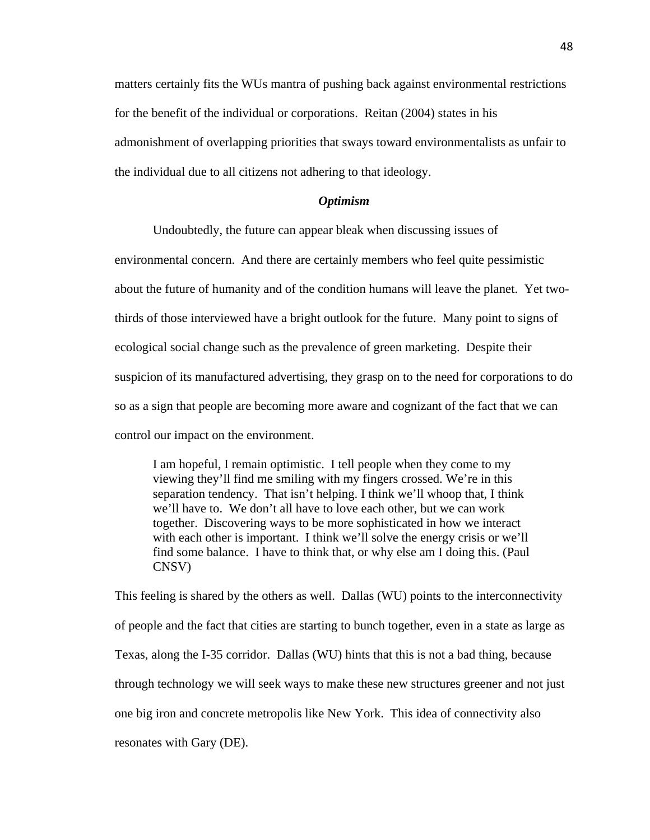matters certainly fits the WUs mantra of pushing back against environmental restrictions for the benefit of the individual or corporations. Reitan (2004) states in his admonishment of overlapping priorities that sways toward environmentalists as unfair to the individual due to all citizens not adhering to that ideology.

#### *Optimism*

Undoubtedly, the future can appear bleak when discussing issues of

environmental concern. And there are certainly members who feel quite pessimistic about the future of humanity and of the condition humans will leave the planet. Yet twothirds of those interviewed have a bright outlook for the future. Many point to signs of ecological social change such as the prevalence of green marketing. Despite their suspicion of its manufactured advertising, they grasp on to the need for corporations to do so as a sign that people are becoming more aware and cognizant of the fact that we can control our impact on the environment.

I am hopeful, I remain optimistic. I tell people when they come to my viewing they'll find me smiling with my fingers crossed. We're in this separation tendency. That isn't helping. I think we'll whoop that, I think we'll have to. We don't all have to love each other, but we can work together. Discovering ways to be more sophisticated in how we interact with each other is important. I think we'll solve the energy crisis or we'll find some balance. I have to think that, or why else am I doing this. (Paul CNSV)

This feeling is shared by the others as well. Dallas (WU) points to the interconnectivity of people and the fact that cities are starting to bunch together, even in a state as large as Texas, along the I-35 corridor. Dallas (WU) hints that this is not a bad thing, because through technology we will seek ways to make these new structures greener and not just one big iron and concrete metropolis like New York. This idea of connectivity also resonates with Gary (DE).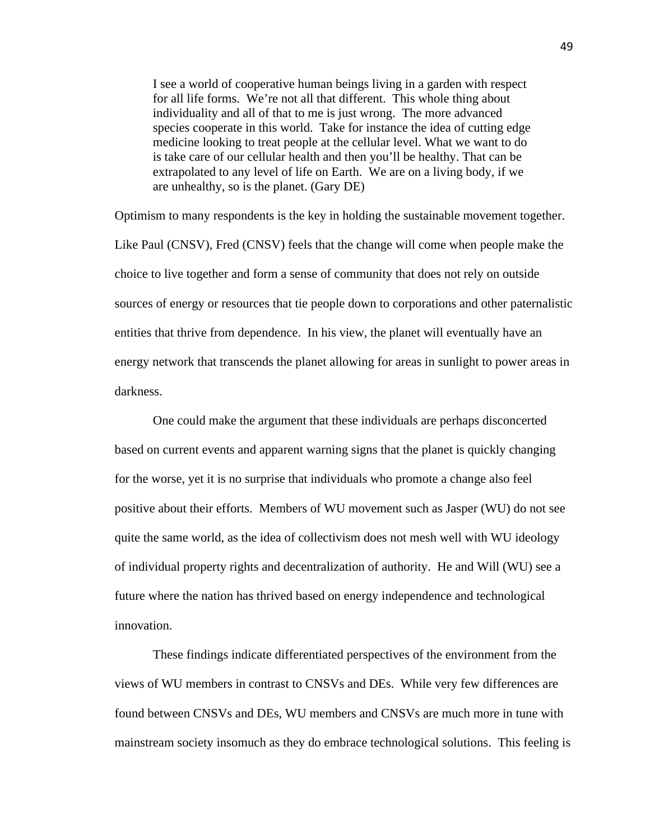I see a world of cooperative human beings living in a garden with respect for all life forms. We're not all that different. This whole thing about individuality and all of that to me is just wrong. The more advanced species cooperate in this world. Take for instance the idea of cutting edge medicine looking to treat people at the cellular level. What we want to do is take care of our cellular health and then you'll be healthy. That can be extrapolated to any level of life on Earth. We are on a living body, if we are unhealthy, so is the planet. (Gary DE)

Optimism to many respondents is the key in holding the sustainable movement together. Like Paul (CNSV), Fred (CNSV) feels that the change will come when people make the choice to live together and form a sense of community that does not rely on outside sources of energy or resources that tie people down to corporations and other paternalistic entities that thrive from dependence. In his view, the planet will eventually have an energy network that transcends the planet allowing for areas in sunlight to power areas in darkness.

One could make the argument that these individuals are perhaps disconcerted based on current events and apparent warning signs that the planet is quickly changing for the worse, yet it is no surprise that individuals who promote a change also feel positive about their efforts. Members of WU movement such as Jasper (WU) do not see quite the same world, as the idea of collectivism does not mesh well with WU ideology of individual property rights and decentralization of authority. He and Will (WU) see a future where the nation has thrived based on energy independence and technological innovation.

These findings indicate differentiated perspectives of the environment from the views of WU members in contrast to CNSVs and DEs. While very few differences are found between CNSVs and DEs, WU members and CNSVs are much more in tune with mainstream society insomuch as they do embrace technological solutions. This feeling is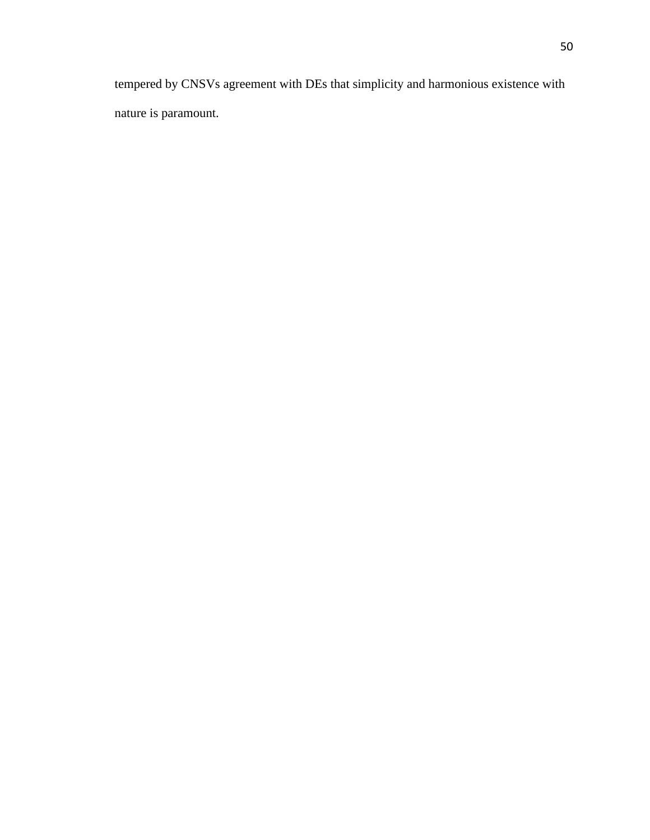tempered by CNSVs agreement with DEs that simplicity and harmonious existence with nature is paramount.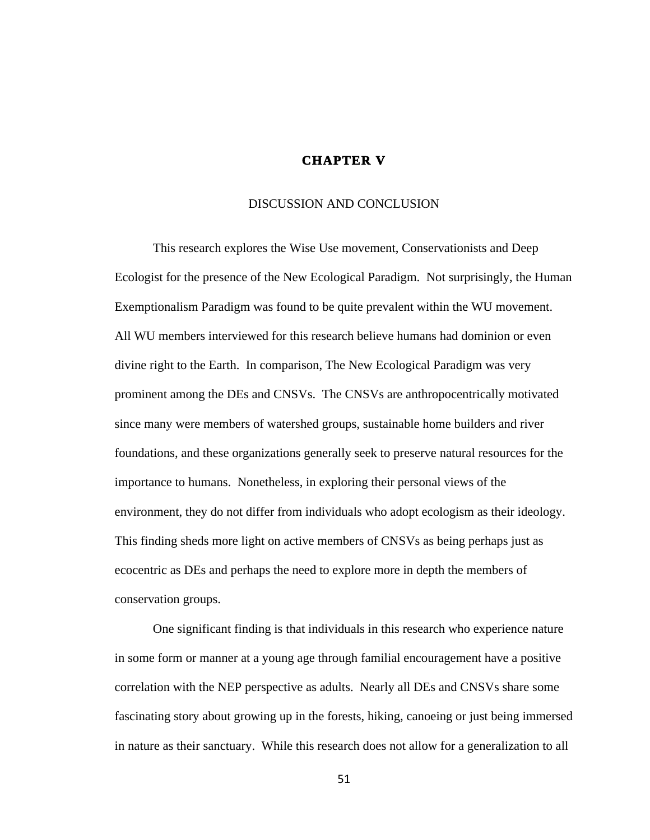## **CHAPTER V**

#### DISCUSSION AND CONCLUSION

This research explores the Wise Use movement, Conservationists and Deep Ecologist for the presence of the New Ecological Paradigm. Not surprisingly, the Human Exemptionalism Paradigm was found to be quite prevalent within the WU movement. All WU members interviewed for this research believe humans had dominion or even divine right to the Earth. In comparison, The New Ecological Paradigm was very prominent among the DEs and CNSVs. The CNSVs are anthropocentrically motivated since many were members of watershed groups, sustainable home builders and river foundations, and these organizations generally seek to preserve natural resources for the importance to humans. Nonetheless, in exploring their personal views of the environment, they do not differ from individuals who adopt ecologism as their ideology. This finding sheds more light on active members of CNSVs as being perhaps just as ecocentric as DEs and perhaps the need to explore more in depth the members of conservation groups.

One significant finding is that individuals in this research who experience nature in some form or manner at a young age through familial encouragement have a positive correlation with the NEP perspective as adults. Nearly all DEs and CNSVs share some fascinating story about growing up in the forests, hiking, canoeing or just being immersed in nature as their sanctuary. While this research does not allow for a generalization to all

51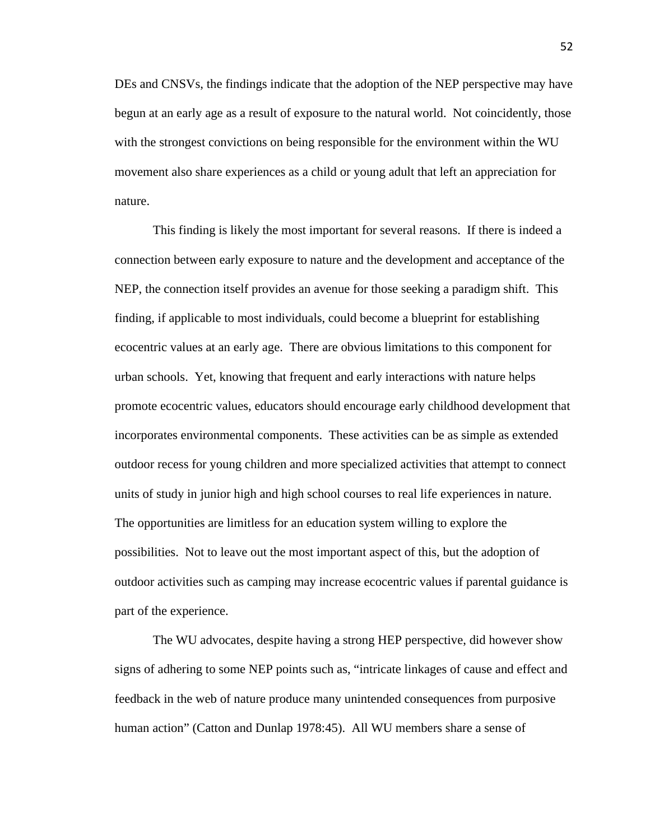DEs and CNSVs, the findings indicate that the adoption of the NEP perspective may have begun at an early age as a result of exposure to the natural world. Not coincidently, those with the strongest convictions on being responsible for the environment within the WU movement also share experiences as a child or young adult that left an appreciation for nature.

This finding is likely the most important for several reasons. If there is indeed a connection between early exposure to nature and the development and acceptance of the NEP, the connection itself provides an avenue for those seeking a paradigm shift. This finding, if applicable to most individuals, could become a blueprint for establishing ecocentric values at an early age. There are obvious limitations to this component for urban schools. Yet, knowing that frequent and early interactions with nature helps promote ecocentric values, educators should encourage early childhood development that incorporates environmental components. These activities can be as simple as extended outdoor recess for young children and more specialized activities that attempt to connect units of study in junior high and high school courses to real life experiences in nature. The opportunities are limitless for an education system willing to explore the possibilities. Not to leave out the most important aspect of this, but the adoption of outdoor activities such as camping may increase ecocentric values if parental guidance is part of the experience.

The WU advocates, despite having a strong HEP perspective, did however show signs of adhering to some NEP points such as, "intricate linkages of cause and effect and feedback in the web of nature produce many unintended consequences from purposive human action" (Catton and Dunlap 1978:45). All WU members share a sense of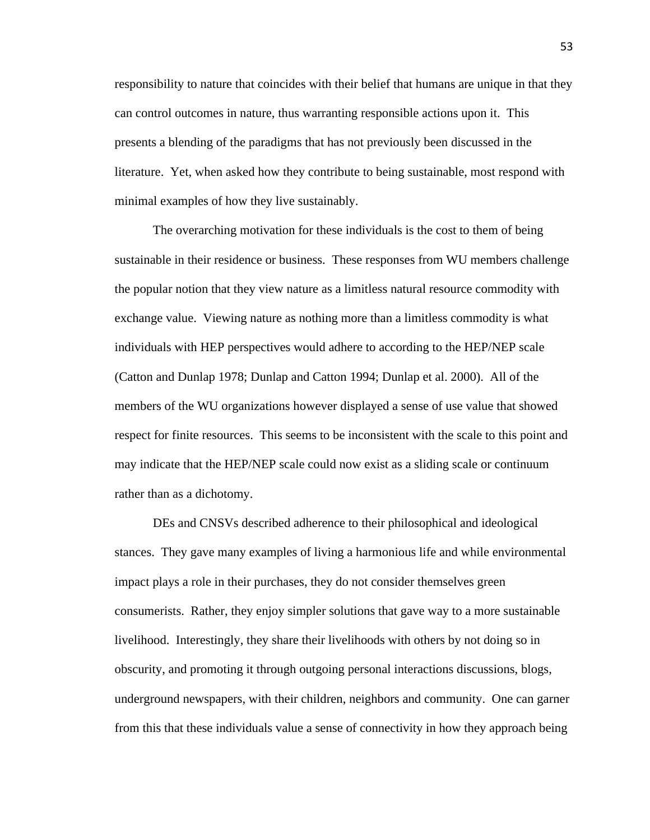responsibility to nature that coincides with their belief that humans are unique in that they can control outcomes in nature, thus warranting responsible actions upon it. This presents a blending of the paradigms that has not previously been discussed in the literature. Yet, when asked how they contribute to being sustainable, most respond with minimal examples of how they live sustainably.

The overarching motivation for these individuals is the cost to them of being sustainable in their residence or business. These responses from WU members challenge the popular notion that they view nature as a limitless natural resource commodity with exchange value. Viewing nature as nothing more than a limitless commodity is what individuals with HEP perspectives would adhere to according to the HEP/NEP scale (Catton and Dunlap 1978; Dunlap and Catton 1994; Dunlap et al. 2000). All of the members of the WU organizations however displayed a sense of use value that showed respect for finite resources. This seems to be inconsistent with the scale to this point and may indicate that the HEP/NEP scale could now exist as a sliding scale or continuum rather than as a dichotomy.

DEs and CNSVs described adherence to their philosophical and ideological stances. They gave many examples of living a harmonious life and while environmental impact plays a role in their purchases, they do not consider themselves green consumerists. Rather, they enjoy simpler solutions that gave way to a more sustainable livelihood. Interestingly, they share their livelihoods with others by not doing so in obscurity, and promoting it through outgoing personal interactions discussions, blogs, underground newspapers, with their children, neighbors and community. One can garner from this that these individuals value a sense of connectivity in how they approach being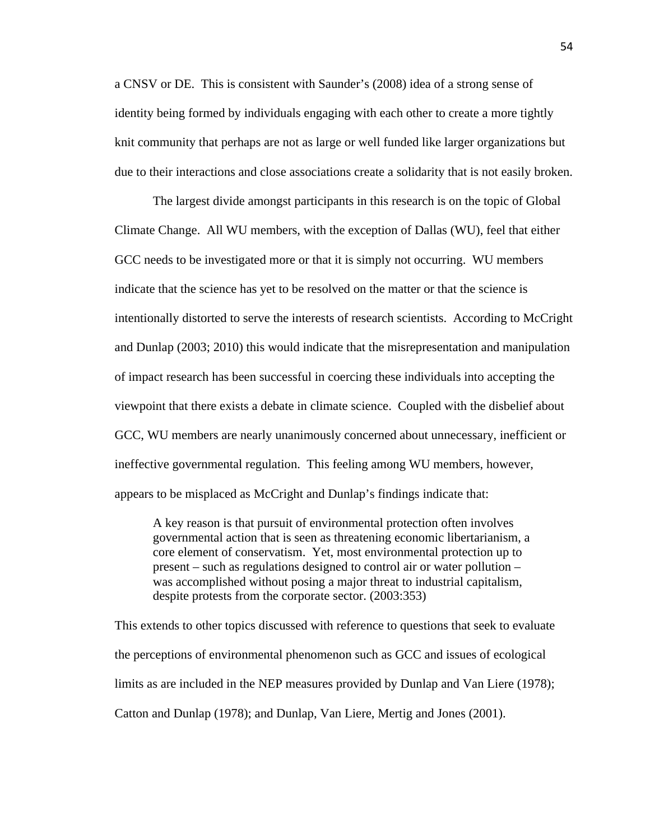a CNSV or DE. This is consistent with Saunder's (2008) idea of a strong sense of identity being formed by individuals engaging with each other to create a more tightly knit community that perhaps are not as large or well funded like larger organizations but due to their interactions and close associations create a solidarity that is not easily broken.

The largest divide amongst participants in this research is on the topic of Global Climate Change. All WU members, with the exception of Dallas (WU), feel that either GCC needs to be investigated more or that it is simply not occurring. WU members indicate that the science has yet to be resolved on the matter or that the science is intentionally distorted to serve the interests of research scientists. According to McCright and Dunlap (2003; 2010) this would indicate that the misrepresentation and manipulation of impact research has been successful in coercing these individuals into accepting the viewpoint that there exists a debate in climate science. Coupled with the disbelief about GCC, WU members are nearly unanimously concerned about unnecessary, inefficient or ineffective governmental regulation. This feeling among WU members, however, appears to be misplaced as McCright and Dunlap's findings indicate that:

A key reason is that pursuit of environmental protection often involves governmental action that is seen as threatening economic libertarianism, a core element of conservatism. Yet, most environmental protection up to present – such as regulations designed to control air or water pollution – was accomplished without posing a major threat to industrial capitalism, despite protests from the corporate sector. (2003:353)

This extends to other topics discussed with reference to questions that seek to evaluate the perceptions of environmental phenomenon such as GCC and issues of ecological limits as are included in the NEP measures provided by Dunlap and Van Liere (1978); Catton and Dunlap (1978); and Dunlap, Van Liere, Mertig and Jones (2001).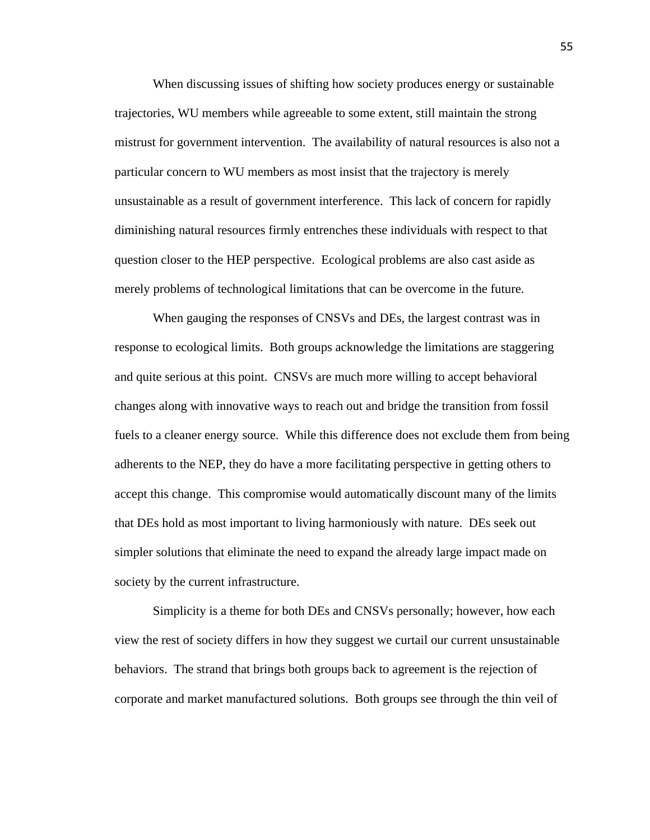When discussing issues of shifting how society produces energy or sustainable trajectories, WU members while agreeable to some extent, still maintain the strong mistrust for government intervention. The availability of natural resources is also not a particular concern to WU members as most insist that the trajectory is merely unsustainable as a result of government interference. This lack of concern for rapidly diminishing natural resources firmly entrenches these individuals with respect to that question closer to the HEP perspective. Ecological problems are also cast aside as merely problems of technological limitations that can be overcome in the future.

When gauging the responses of CNSVs and DEs, the largest contrast was in response to ecological limits. Both groups acknowledge the limitations are staggering and quite serious at this point. CNSVs are much more willing to accept behavioral changes along with innovative ways to reach out and bridge the transition from fossil fuels to a cleaner energy source. While this difference does not exclude them from being adherents to the NEP, they do have a more facilitating perspective in getting others to accept this change. This compromise would automatically discount many of the limits that DEs hold as most important to living harmoniously with nature. DEs seek out simpler solutions that eliminate the need to expand the already large impact made on society by the current infrastructure.

Simplicity is a theme for both DEs and CNSVs personally; however, how each view the rest of society differs in how they suggest we curtail our current unsustainable behaviors. The strand that brings both groups back to agreement is the rejection of corporate and market manufactured solutions. Both groups see through the thin veil of

55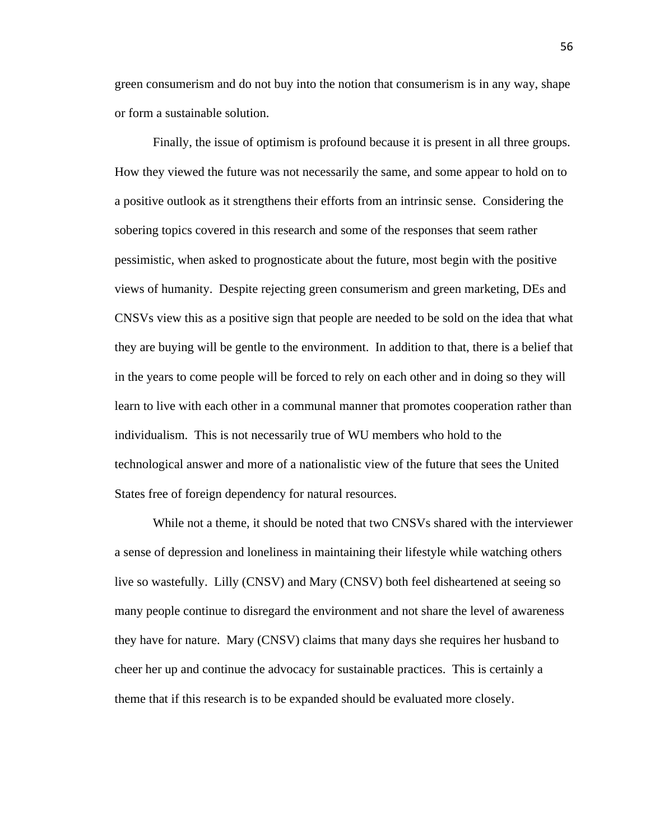green consumerism and do not buy into the notion that consumerism is in any way, shape or form a sustainable solution.

Finally, the issue of optimism is profound because it is present in all three groups. How they viewed the future was not necessarily the same, and some appear to hold on to a positive outlook as it strengthens their efforts from an intrinsic sense. Considering the sobering topics covered in this research and some of the responses that seem rather pessimistic, when asked to prognosticate about the future, most begin with the positive views of humanity. Despite rejecting green consumerism and green marketing, DEs and CNSVs view this as a positive sign that people are needed to be sold on the idea that what they are buying will be gentle to the environment. In addition to that, there is a belief that in the years to come people will be forced to rely on each other and in doing so they will learn to live with each other in a communal manner that promotes cooperation rather than individualism. This is not necessarily true of WU members who hold to the technological answer and more of a nationalistic view of the future that sees the United States free of foreign dependency for natural resources.

While not a theme, it should be noted that two CNSVs shared with the interviewer a sense of depression and loneliness in maintaining their lifestyle while watching others live so wastefully. Lilly (CNSV) and Mary (CNSV) both feel disheartened at seeing so many people continue to disregard the environment and not share the level of awareness they have for nature. Mary (CNSV) claims that many days she requires her husband to cheer her up and continue the advocacy for sustainable practices. This is certainly a theme that if this research is to be expanded should be evaluated more closely.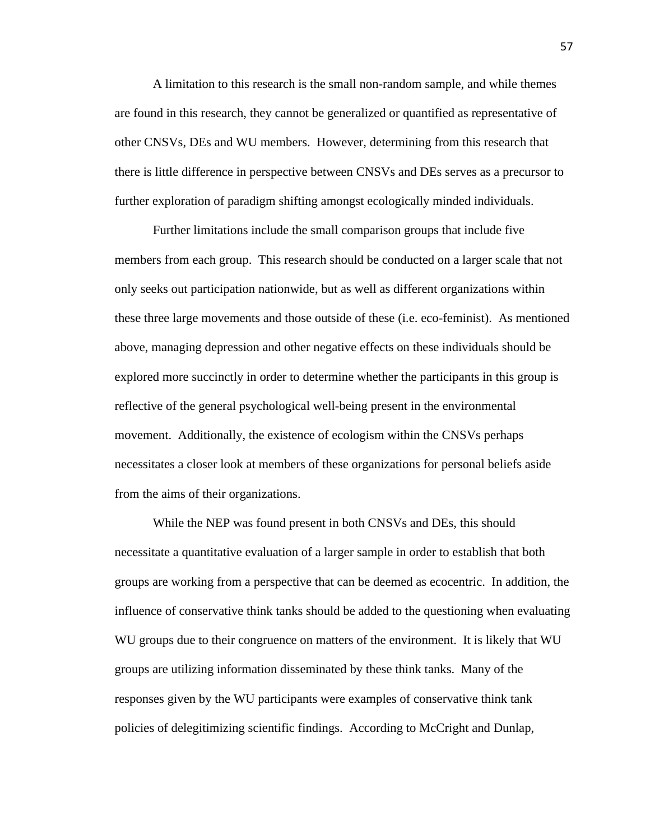A limitation to this research is the small non-random sample, and while themes are found in this research, they cannot be generalized or quantified as representative of other CNSVs, DEs and WU members. However, determining from this research that there is little difference in perspective between CNSVs and DEs serves as a precursor to further exploration of paradigm shifting amongst ecologically minded individuals.

Further limitations include the small comparison groups that include five members from each group. This research should be conducted on a larger scale that not only seeks out participation nationwide, but as well as different organizations within these three large movements and those outside of these (i.e. eco-feminist). As mentioned above, managing depression and other negative effects on these individuals should be explored more succinctly in order to determine whether the participants in this group is reflective of the general psychological well-being present in the environmental movement. Additionally, the existence of ecologism within the CNSVs perhaps necessitates a closer look at members of these organizations for personal beliefs aside from the aims of their organizations.

While the NEP was found present in both CNSVs and DEs, this should necessitate a quantitative evaluation of a larger sample in order to establish that both groups are working from a perspective that can be deemed as ecocentric. In addition, the influence of conservative think tanks should be added to the questioning when evaluating WU groups due to their congruence on matters of the environment. It is likely that WU groups are utilizing information disseminated by these think tanks. Many of the responses given by the WU participants were examples of conservative think tank policies of delegitimizing scientific findings. According to McCright and Dunlap,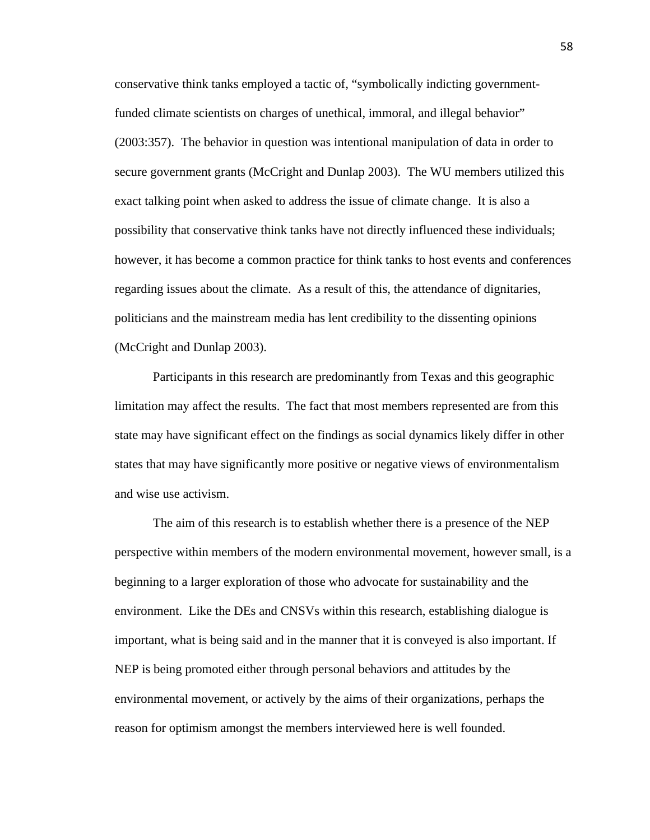conservative think tanks employed a tactic of, "symbolically indicting governmentfunded climate scientists on charges of unethical, immoral, and illegal behavior" (2003:357). The behavior in question was intentional manipulation of data in order to secure government grants (McCright and Dunlap 2003). The WU members utilized this exact talking point when asked to address the issue of climate change. It is also a possibility that conservative think tanks have not directly influenced these individuals; however, it has become a common practice for think tanks to host events and conferences regarding issues about the climate. As a result of this, the attendance of dignitaries, politicians and the mainstream media has lent credibility to the dissenting opinions (McCright and Dunlap 2003).

Participants in this research are predominantly from Texas and this geographic limitation may affect the results. The fact that most members represented are from this state may have significant effect on the findings as social dynamics likely differ in other states that may have significantly more positive or negative views of environmentalism and wise use activism.

The aim of this research is to establish whether there is a presence of the NEP perspective within members of the modern environmental movement, however small, is a beginning to a larger exploration of those who advocate for sustainability and the environment. Like the DEs and CNSVs within this research, establishing dialogue is important, what is being said and in the manner that it is conveyed is also important. If NEP is being promoted either through personal behaviors and attitudes by the environmental movement, or actively by the aims of their organizations, perhaps the reason for optimism amongst the members interviewed here is well founded.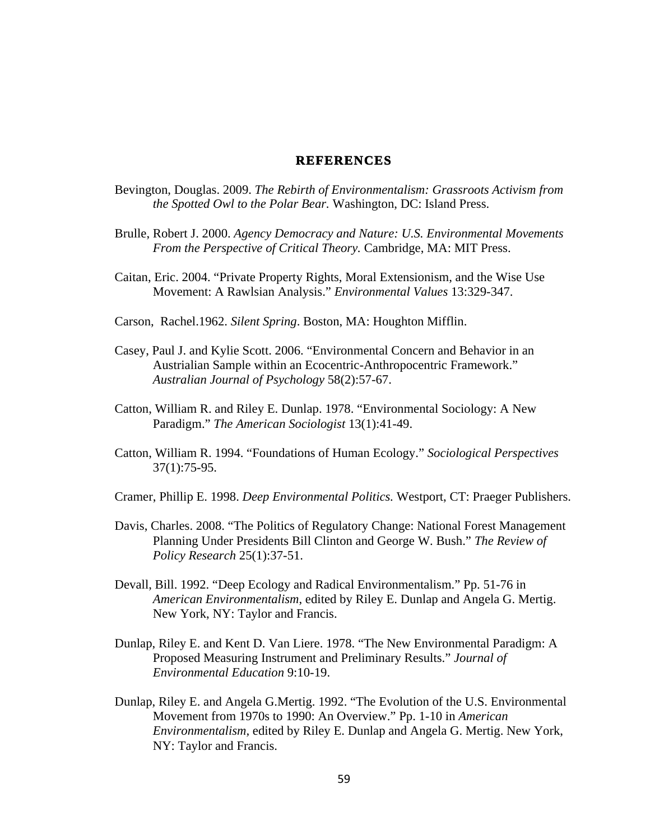#### **REFERENCES**

- Bevington, Douglas. 2009. *The Rebirth of Environmentalism: Grassroots Activism from the Spotted Owl to the Polar Bear.* Washington, DC: Island Press.
- Brulle, Robert J. 2000. *Agency Democracy and Nature: U.S. Environmental Movements From the Perspective of Critical Theory.* Cambridge, MA: MIT Press.
- Caitan, Eric. 2004. "Private Property Rights, Moral Extensionism, and the Wise Use Movement: A Rawlsian Analysis." *Environmental Values* 13:329-347.
- Carson, Rachel.1962. *Silent Spring*. Boston, MA: Houghton Mifflin.
- Casey, Paul J. and Kylie Scott. 2006. "Environmental Concern and Behavior in an Austrialian Sample within an Ecocentric-Anthropocentric Framework." *Australian Journal of Psychology* 58(2):57-67.
- Catton, William R. and Riley E. Dunlap. 1978. "Environmental Sociology: A New Paradigm." *The American Sociologist* 13(1):41-49.
- Catton, William R. 1994. "Foundations of Human Ecology." *Sociological Perspectives* 37(1):75-95.
- Cramer, Phillip E. 1998. *Deep Environmental Politics.* Westport, CT: Praeger Publishers.
- Davis, Charles. 2008. "The Politics of Regulatory Change: National Forest Management Planning Under Presidents Bill Clinton and George W. Bush." *The Review of Policy Research* 25(1):37-51.
- Devall, Bill. 1992. "Deep Ecology and Radical Environmentalism." Pp. 51-76 in *American Environmentalism*, edited by Riley E. Dunlap and Angela G. Mertig. New York, NY: Taylor and Francis.
- Dunlap, Riley E. and Kent D. Van Liere. 1978. "The New Environmental Paradigm: A Proposed Measuring Instrument and Preliminary Results." *Journal of Environmental Education* 9:10-19.
- Dunlap, Riley E. and Angela G.Mertig. 1992. "The Evolution of the U.S. Environmental Movement from 1970s to 1990: An Overview." Pp. 1-10 in *American Environmentalism,* edited by Riley E. Dunlap and Angela G. Mertig. New York, NY: Taylor and Francis.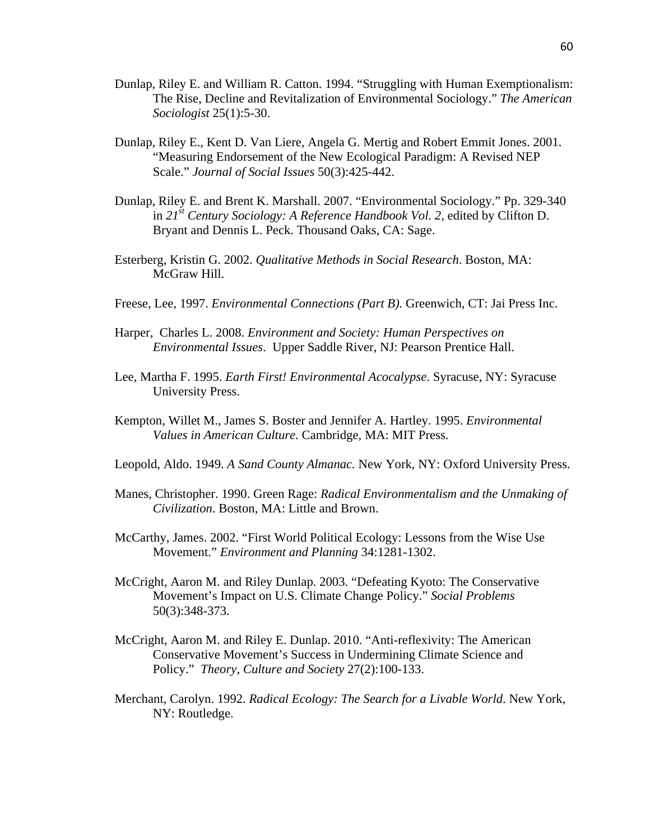- Dunlap, Riley E. and William R. Catton. 1994. "Struggling with Human Exemptionalism: The Rise, Decline and Revitalization of Environmental Sociology." *The American Sociologist* 25(1):5-30.
- Dunlap, Riley E., Kent D. Van Liere, Angela G. Mertig and Robert Emmit Jones. 2001. "Measuring Endorsement of the New Ecological Paradigm: A Revised NEP Scale." *Journal of Social Issues* 50(3):425-442.
- Dunlap, Riley E. and Brent K. Marshall. 2007. "Environmental Sociology." Pp. 329-340 in *21st Century Sociology: A Reference Handbook Vol. 2,* edited by Clifton D. Bryant and Dennis L. Peck. Thousand Oaks, CA: Sage.
- Esterberg, Kristin G. 2002. *Qualitative Methods in Social Research*. Boston, MA: McGraw Hill.
- Freese, Lee, 1997. *Environmental Connections (Part B).* Greenwich, CT: Jai Press Inc.
- Harper, Charles L. 2008. *Environment and Society: Human Perspectives on Environmental Issues*. Upper Saddle River, NJ: Pearson Prentice Hall.
- Lee, Martha F. 1995. *Earth First! Environmental Acocalypse*. Syracuse, NY: Syracuse University Press.
- Kempton, Willet M., James S. Boster and Jennifer A. Hartley. 1995. *Environmental Values in American Culture.* Cambridge, MA: MIT Press.
- Leopold, Aldo. 1949. *A Sand County Almanac.* New York, NY: Oxford University Press.
- Manes, Christopher. 1990. Green Rage: *Radical Environmentalism and the Unmaking of Civilization*. Boston, MA: Little and Brown.
- McCarthy, James. 2002. "First World Political Ecology: Lessons from the Wise Use Movement." *Environment and Planning* 34:1281-1302.
- McCright, Aaron M. and Riley Dunlap. 2003. "Defeating Kyoto: The Conservative Movement's Impact on U.S. Climate Change Policy." *Social Problems*  50(3):348-373.
- McCright, Aaron M. and Riley E. Dunlap. 2010. "Anti-reflexivity: The American Conservative Movement's Success in Undermining Climate Science and Policy." *Theory, Culture and Society* 27(2):100-133.
- Merchant, Carolyn. 1992. *Radical Ecology: The Search for a Livable World*. New York, NY: Routledge.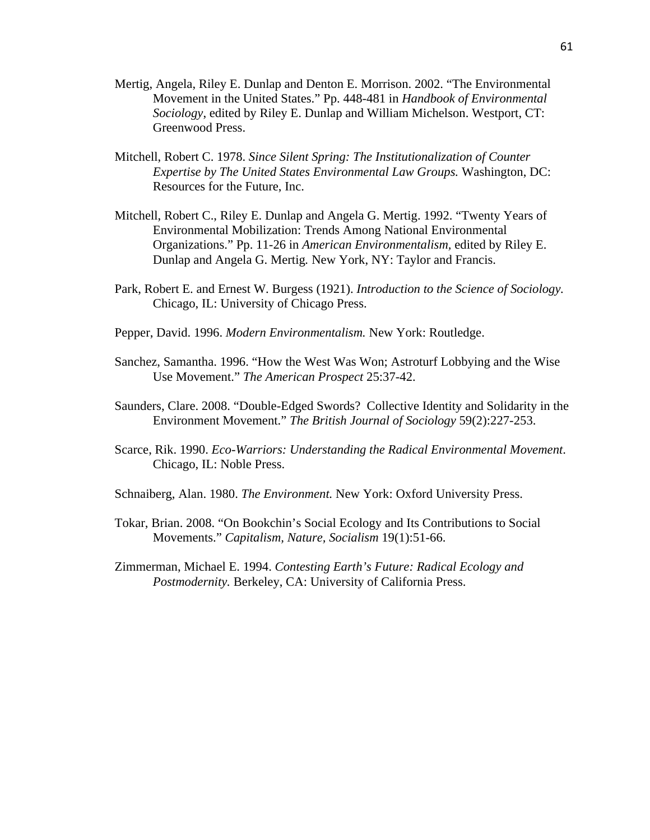- Mertig, Angela, Riley E. Dunlap and Denton E. Morrison. 2002. "The Environmental Movement in the United States." Pp. 448-481 in *Handbook of Environmental Sociology*, edited by Riley E. Dunlap and William Michelson. Westport, CT: Greenwood Press.
- Mitchell, Robert C. 1978. *Since Silent Spring: The Institutionalization of Counter Expertise by The United States Environmental Law Groups.* Washington, DC: Resources for the Future, Inc.
- Mitchell, Robert C., Riley E. Dunlap and Angela G. Mertig. 1992. "Twenty Years of Environmental Mobilization: Trends Among National Environmental Organizations." Pp. 11-26 in *American Environmentalism,* edited by Riley E. Dunlap and Angela G. Mertig*.* New York, NY: Taylor and Francis.
- Park, Robert E. and Ernest W. Burgess (1921). *Introduction to the Science of Sociology.* Chicago, IL: University of Chicago Press.
- Pepper, David. 1996. *Modern Environmentalism.* New York: Routledge.
- Sanchez, Samantha. 1996. "How the West Was Won; Astroturf Lobbying and the Wise Use Movement." *The American Prospect* 25:37-42.
- Saunders, Clare. 2008. "Double-Edged Swords? Collective Identity and Solidarity in the Environment Movement." *The British Journal of Sociology* 59(2):227-253.
- Scarce, Rik. 1990. *Eco-Warriors: Understanding the Radical Environmental Movement*. Chicago, IL: Noble Press.
- Schnaiberg, Alan. 1980. *The Environment.* New York: Oxford University Press.
- Tokar, Brian. 2008. "On Bookchin's Social Ecology and Its Contributions to Social Movements." *Capitalism, Nature, Socialism* 19(1):51-66.
- Zimmerman, Michael E. 1994. *Contesting Earth's Future: Radical Ecology and Postmodernity.* Berkeley, CA: University of California Press.